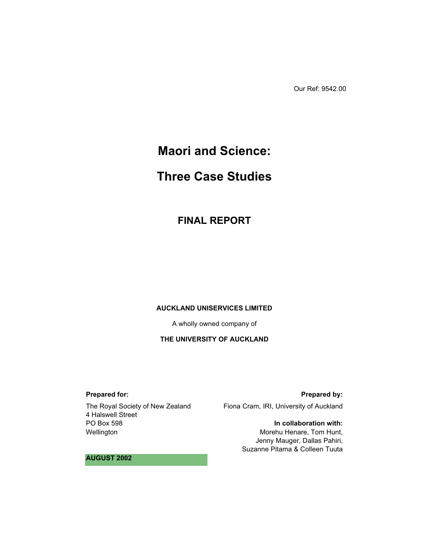Our Ref: 9542.00

# **Maori and Science:**

# **Three Case Studies**

**FINAL REPORT** 

#### **AUCKLAND UNISERVICES LIMITED**

A wholly owned company of

### **THE UNIVERSITY OF AUCKLAND**

### **Prepared for:**

The Royal Society of New Zealand 4 Halswell Street PO Box 598 Wellington

#### **Prepared by:**

Fiona Cram, IRI, University of Auckland

#### **In collaboration with:**

Morehu Henare, Tom Hunt, Jenny Mauger, Dallas Pahiri, Suzanne Pitama & Colleen Tuuta

#### **AUGUST 2002**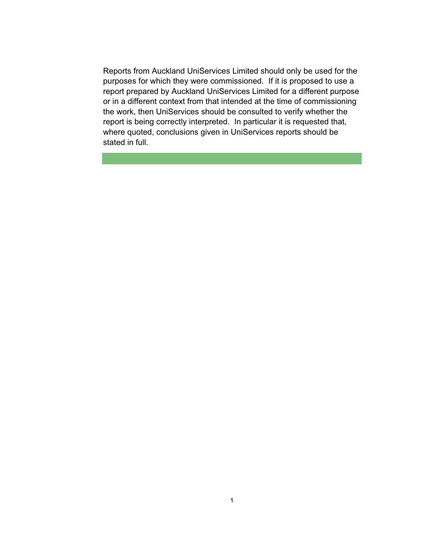Reports from Auckland UniServices Limited should only be used for the purposes for which they were commissioned. If it is proposed to use a report prepared by Auckland UniServices Limited for a different purpose or in a different context from that intended at the time of commissioning the work, then UniServices should be consulted to verify whether the report is being correctly interpreted. In particular it is requested that, where quoted, conclusions given in UniServices reports should be stated in full.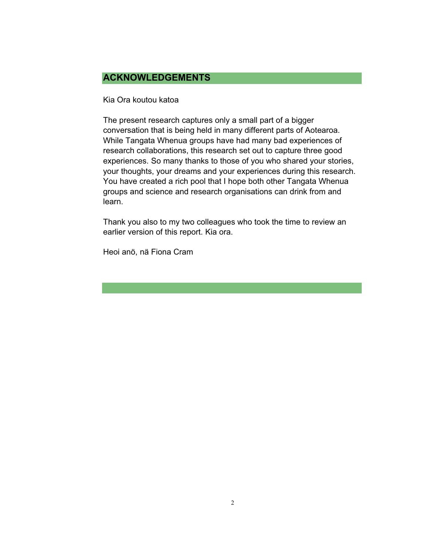# **ACKNOWLEDGEMENTS**

Kia Ora koutou katoa

The present research captures only a small part of a bigger conversation that is being held in many different parts of Aotearoa. While Tangata Whenua groups have had many bad experiences of research collaborations, this research set out to capture three good experiences. So many thanks to those of you who shared your stories, your thoughts, your dreams and your experiences during this research. You have created a rich pool that I hope both other Tangata Whenua groups and science and research organisations can drink from and learn.

Thank you also to my two colleagues who took the time to review an earlier version of this report. Kia ora.

Heoi anö, nä Fiona Cram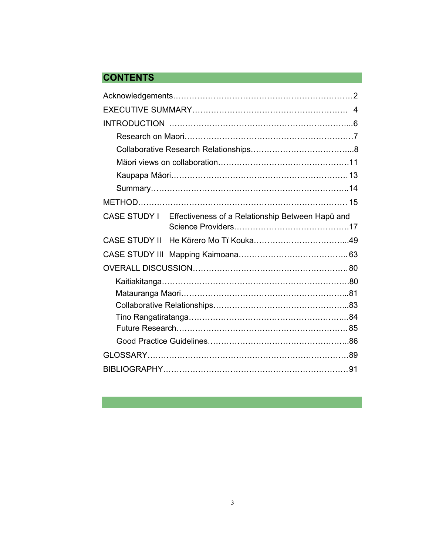# **CONTENTS**

|                      | CASE STUDY I Effectiveness of a Relationship Between Hapü and |  |
|----------------------|---------------------------------------------------------------|--|
| <b>CASE STUDY II</b> |                                                               |  |
|                      |                                                               |  |
|                      |                                                               |  |
|                      |                                                               |  |
|                      |                                                               |  |
|                      |                                                               |  |
|                      |                                                               |  |
|                      |                                                               |  |
|                      |                                                               |  |
|                      |                                                               |  |
|                      |                                                               |  |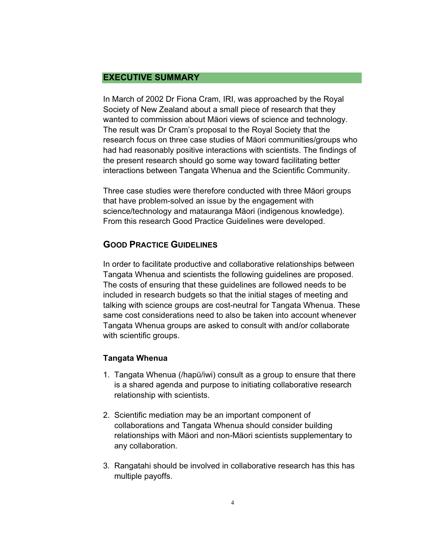# **EXECUTIVE SUMMARY**

In March of 2002 Dr Fiona Cram, IRI, was approached by the Royal Society of New Zealand about a small piece of research that they wanted to commission about Mäori views of science and technology. The result was Dr Cram's proposal to the Royal Society that the research focus on three case studies of Mäori communities/groups who had had reasonably positive interactions with scientists. The findings of the present research should go some way toward facilitating better interactions between Tangata Whenua and the Scientific Community.

Three case studies were therefore conducted with three Mäori groups that have problem-solved an issue by the engagement with science/technology and matauranga Mäori (indigenous knowledge). From this research Good Practice Guidelines were developed.

# **GOOD PRACTICE GUIDELINES**

In order to facilitate productive and collaborative relationships between Tangata Whenua and scientists the following guidelines are proposed. The costs of ensuring that these guidelines are followed needs to be included in research budgets so that the initial stages of meeting and talking with science groups are cost-neutral for Tangata Whenua. These same cost considerations need to also be taken into account whenever Tangata Whenua groups are asked to consult with and/or collaborate with scientific groups.

# **Tangata Whenua**

- 1. Tangata Whenua (/hapü/iwi) consult as a group to ensure that there is a shared agenda and purpose to initiating collaborative research relationship with scientists.
- 2. Scientific mediation may be an important component of collaborations and Tangata Whenua should consider building relationships with Mäori and non-Mäori scientists supplementary to any collaboration.
- 3. Rangatahi should be involved in collaborative research has this has multiple payoffs.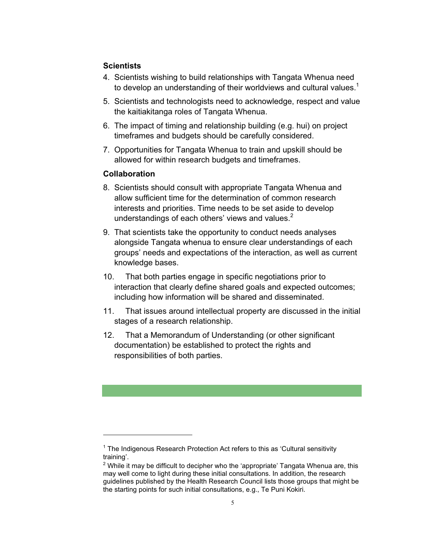# **Scientists**

- 4. Scientists wishing to build relationships with Tangata Whenua need to develop an understanding of their worldviews and cultural values. $1$
- 5. Scientists and technologists need to acknowledge, respect and value the kaitiakitanga roles of Tangata Whenua.
- 6. The impact of timing and relationship building (e.g. hui) on project timeframes and budgets should be carefully considered.
- 7. Opportunities for Tangata Whenua to train and upskill should be allowed for within research budgets and timeframes.

# **Collaboration**

- 8. Scientists should consult with appropriate Tangata Whenua and allow sufficient time for the determination of common research interests and priorities. Time needs to be set aside to develop understandings of each others' views and values. $2^2$
- 9. That scientists take the opportunity to conduct needs analyses alongside Tangata whenua to ensure clear understandings of each groups' needs and expectations of the interaction, as well as current knowledge bases.
- 10. That both parties engage in specific negotiations prior to interaction that clearly define shared goals and expected outcomes; including how information will be shared and disseminated.
- 11. That issues around intellectual property are discussed in the initial stages of a research relationship.
- 12. That a Memorandum of Understanding (or other significant documentation) be established to protect the rights and responsibilities of both parties.

<sup>&</sup>lt;sup>1</sup> The Indigenous Research Protection Act refers to this as 'Cultural sensitivity training'.

 $^2$  While it may be difficult to decipher who the 'appropriate' Tangata Whenua are, this may well come to light during these initial consultations. In addition, the research guidelines published by the Health Research Council lists those groups that might be the starting points for such initial consultations, e.g., Te Puni Kokiri.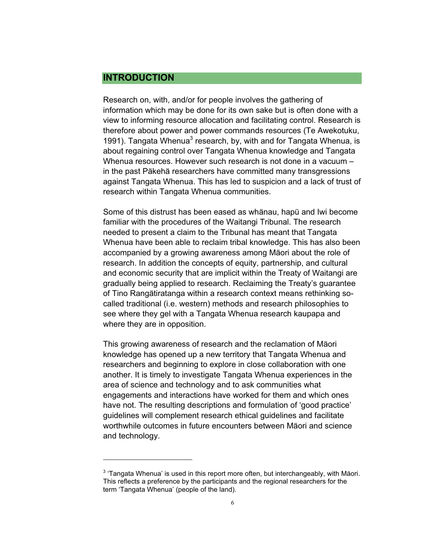# **INTRODUCTION**

 $\overline{a}$ 

Research on, with, and/or for people involves the gathering of information which may be done for its own sake but is often done with a view to informing resource allocation and facilitating control. Research is therefore about power and power commands resources (Te Awekotuku, 1991). Tangata Whenua<sup>3</sup> research, by, with and for Tangata Whenua, is about regaining control over Tangata Whenua knowledge and Tangata Whenua resources. However such research is not done in a vacuum – in the past Päkehä researchers have committed many transgressions against Tangata Whenua. This has led to suspicion and a lack of trust of research within Tangata Whenua communities.

Some of this distrust has been eased as whänau, hapü and Iwi become familiar with the procedures of the Waitangi Tribunal. The research needed to present a claim to the Tribunal has meant that Tangata Whenua have been able to reclaim tribal knowledge. This has also been accompanied by a growing awareness among Mäori about the role of research. In addition the concepts of equity, partnership, and cultural and economic security that are implicit within the Treaty of Waitangi are gradually being applied to research. Reclaiming the Treaty's guarantee of Tino Rangätiratanga within a research context means rethinking socalled traditional (i.e. western) methods and research philosophies to see where they gel with a Tangata Whenua research kaupapa and where they are in opposition.

This growing awareness of research and the reclamation of Mäori knowledge has opened up a new territory that Tangata Whenua and researchers and beginning to explore in close collaboration with one another. It is timely to investigate Tangata Whenua experiences in the area of science and technology and to ask communities what engagements and interactions have worked for them and which ones have not. The resulting descriptions and formulation of 'good practice' guidelines will complement research ethical guidelines and facilitate worthwhile outcomes in future encounters between Mäori and science and technology.

 $3$  'Tangata Whenua' is used in this report more often, but interchangeably, with Mäori. This reflects a preference by the participants and the regional researchers for the term 'Tangata Whenua' (people of the land).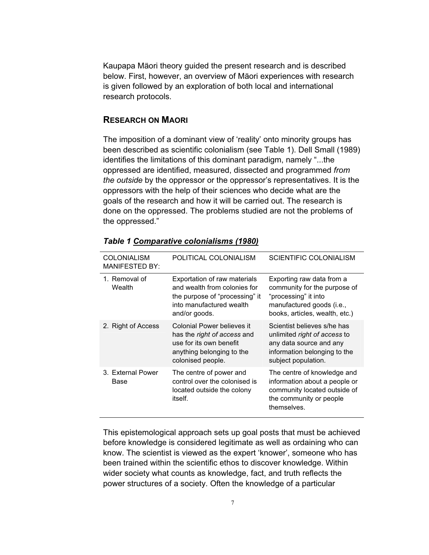Kaupapa Mäori theory guided the present research and is described below. First, however, an overview of Mäori experiences with research is given followed by an exploration of both local and international research protocols.

### **RESEARCH ON MAORI**

The imposition of a dominant view of 'reality' onto minority groups has been described as scientific colonialism (see Table 1). Dell Small (1989) identifies the limitations of this dominant paradigm, namely "...the oppressed are identified, measured, dissected and programmed *from the outside* by the oppressor or the oppressor's representatives. It is the oppressors with the help of their sciences who decide what are the goals of the research and how it will be carried out. The research is done on the oppressed. The problems studied are not the problems of the oppressed."

| <b>COLONIALISM</b><br><b>MANIFESTED BY:</b> | POLITICAL COLONIALISM                                                                                                                         | <b>SCIENTIFIC COLONIALISM</b>                                                                                                                    |
|---------------------------------------------|-----------------------------------------------------------------------------------------------------------------------------------------------|--------------------------------------------------------------------------------------------------------------------------------------------------|
| 1. Removal of<br>Wealth                     | Exportation of raw materials<br>and wealth from colonies for<br>the purpose of "processing" it<br>into manufactured wealth<br>and/or goods.   | Exporting raw data from a<br>community for the purpose of<br>"processing" it into<br>manufactured goods (i.e.,<br>books, articles, wealth, etc.) |
| 2. Right of Access                          | Colonial Power believes it<br>has the <i>right of access</i> and<br>use for its own benefit<br>anything belonging to the<br>colonised people. | Scientist believes s/he has<br>unlimited right of access to<br>any data source and any<br>information belonging to the<br>subject population.    |
| 3. External Power<br>Base                   | The centre of power and<br>control over the colonised is<br>located outside the colony<br>itself.                                             | The centre of knowledge and<br>information about a people or<br>community located outside of<br>the community or people<br>themselves.           |

### *Table 1 Comparative colonialisms (1980)*

This epistemological approach sets up goal posts that must be achieved before knowledge is considered legitimate as well as ordaining who can know. The scientist is viewed as the expert 'knower', someone who has been trained within the scientific ethos to discover knowledge. Within wider society what counts as knowledge, fact, and truth reflects the power structures of a society. Often the knowledge of a particular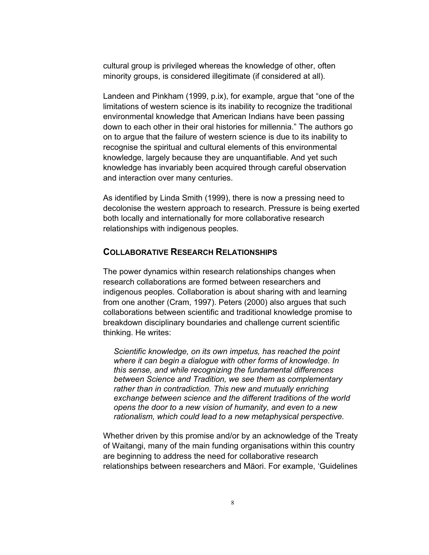cultural group is privileged whereas the knowledge of other, often minority groups, is considered illegitimate (if considered at all).

Landeen and Pinkham (1999, p.ix), for example, argue that "one of the limitations of western science is its inability to recognize the traditional environmental knowledge that American Indians have been passing down to each other in their oral histories for millennia." The authors go on to argue that the failure of western science is due to its inability to recognise the spiritual and cultural elements of this environmental knowledge, largely because they are unquantifiable. And yet such knowledge has invariably been acquired through careful observation and interaction over many centuries.

As identified by Linda Smith (1999), there is now a pressing need to decolonise the western approach to research. Pressure is being exerted both locally and internationally for more collaborative research relationships with indigenous peoples.

# **COLLABORATIVE RESEARCH RELATIONSHIPS**

The power dynamics within research relationships changes when research collaborations are formed between researchers and indigenous peoples. Collaboration is about sharing with and learning from one another (Cram, 1997). Peters (2000) also argues that such collaborations between scientific and traditional knowledge promise to breakdown disciplinary boundaries and challenge current scientific thinking. He writes:

*Scientific knowledge, on its own impetus, has reached the point where it can begin a dialogue with other forms of knowledge. In this sense, and while recognizing the fundamental differences between Science and Tradition, we see them as complementary rather than in contradiction. This new and mutually enriching exchange between science and the different traditions of the world opens the door to a new vision of humanity, and even to a new rationalism, which could lead to a new metaphysical perspective.* 

Whether driven by this promise and/or by an acknowledge of the Treaty of Waitangi, many of the main funding organisations within this country are beginning to address the need for collaborative research relationships between researchers and Mäori. For example, 'Guidelines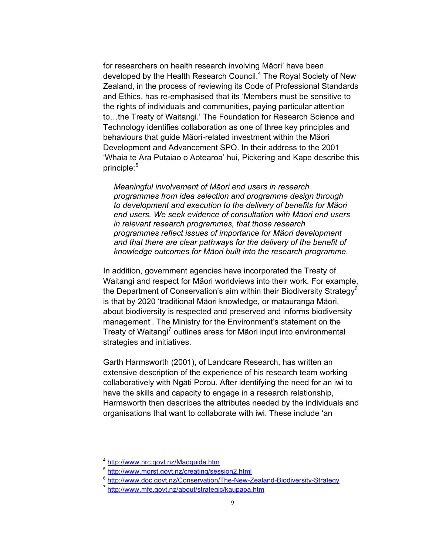for researchers on health research involving Mäori' have been developed by the Health Research Council.<sup>4</sup> The Royal Society of New Zealand, in the process of reviewing its Code of Professional Standards and Ethics, has re-emphasised that its 'Members must be sensitive to the rights of individuals and communities, paying particular attention to…the Treaty of Waitangi.' The Foundation for Research Science and Technology identifies collaboration as one of three key principles and behaviours that guide Mäori-related investment within the Mäori Development and Advancement SPO. In their address to the 2001 'Whaia te Ara Putaiao o Aotearoa' hui, Pickering and Kape describe this  $principle:$ <sup>5</sup>

*Meaningful involvement of Mäori end users in research programmes from idea selection and programme design through to development and execution to the delivery of benefits for Mäori end users. We seek evidence of consultation with Mäori end users in relevant research programmes, that those research programmes reflect issues of importance for Mäori development and that there are clear pathways for the delivery of the benefit of knowledge outcomes for Mäori built into the research programme.* 

In addition, government agencies have incorporated the Treaty of Waitangi and respect for Mäori worldviews into their work. For example, the Department of Conservation's aim within their Biodiversity Strategy<sup>6</sup> is that by 2020 'traditional Mäori knowledge, or matauranga Mäori, about biodiversity is respected and preserved and informs biodiversity management'. The Ministry for the Environment's statement on the Treaty of Waitangi<sup>7</sup> outlines areas for Mäori input into environmental strategies and initiatives.

Garth Harmsworth (2001), of Landcare Research, has written an extensive description of the experience of his research team working collaboratively with Ngäti Porou. After identifying the need for an iwi to have the skills and capacity to engage in a research relationship, Harmsworth then describes the attributes needed by the individuals and organisations that want to collaborate with iwi. These include 'an

<sup>4</sup> http://www.hrc.govt.nz/Maoguide.htm

<sup>5</sup> http://www.morst.govt.nz/creating/session2.html

<sup>&</sup>lt;sup>6</sup> http://www.doc.govt.nz/Conservation/The-New-Zealand-Biodiversity-Strategy

<sup>7</sup> http://www.mfe.govt.nz/about/strategic/kaupapa.htm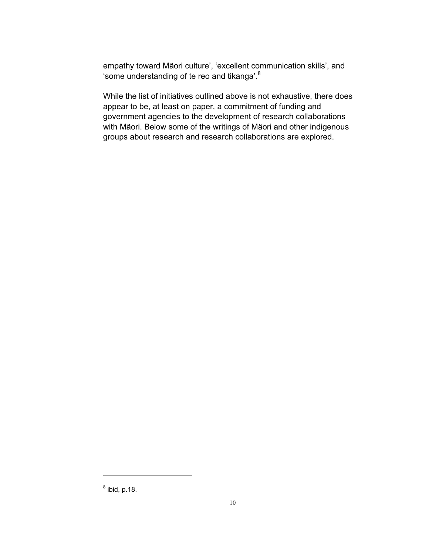empathy toward Mäori culture', 'excellent communication skills', and 'some understanding of te reo and tikanga'.<sup>8</sup>

While the list of initiatives outlined above is not exhaustive, there does appear to be, at least on paper, a commitment of funding and government agencies to the development of research collaborations with Mäori. Below some of the writings of Mäori and other indigenous groups about research and research collaborations are explored.

 $^8$  ibid, p.18.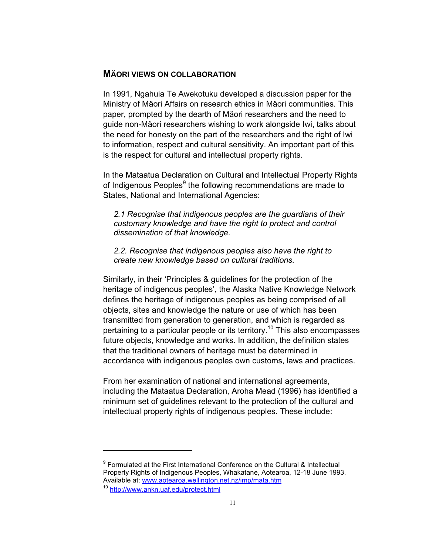### **MÄORI VIEWS ON COLLABORATION**

In 1991, Ngahuia Te Awekotuku developed a discussion paper for the Ministry of Mäori Affairs on research ethics in Mäori communities. This paper, prompted by the dearth of Mäori researchers and the need to guide non-Mäori researchers wishing to work alongside Iwi, talks about the need for honesty on the part of the researchers and the right of Iwi to information, respect and cultural sensitivity. An important part of this is the respect for cultural and intellectual property rights.

In the Mataatua Declaration on Cultural and Intellectual Property Rights of Indigenous Peoples<sup>9</sup> the following recommendations are made to States, National and International Agencies:

*2.1 Recognise that indigenous peoples are the guardians of their customary knowledge and have the right to protect and control dissemination of that knowledge.* 

*2.2. Recognise that indigenous peoples also have the right to create new knowledge based on cultural traditions.* 

Similarly, in their 'Principles & guidelines for the protection of the heritage of indigenous peoples', the Alaska Native Knowledge Network defines the heritage of indigenous peoples as being comprised of all objects, sites and knowledge the nature or use of which has been transmitted from generation to generation, and which is regarded as pertaining to a particular people or its territory.<sup>10</sup> This also encompasses future objects, knowledge and works. In addition, the definition states that the traditional owners of heritage must be determined in accordance with indigenous peoples own customs, laws and practices.

From her examination of national and international agreements, including the Mataatua Declaration, Aroha Mead (1996) has identified a minimum set of guidelines relevant to the protection of the cultural and intellectual property rights of indigenous peoples. These include:

<sup>9</sup> Formulated at the First International Conference on the Cultural & Intellectual Property Rights of Indigenous Peoples, Whakatane, Aotearoa, 12-18 June 1993. Available at: www.aotearoa.wellington.net.nz/imp/mata.htm

<sup>10</sup> http://www.ankn.uaf.edu/protect.html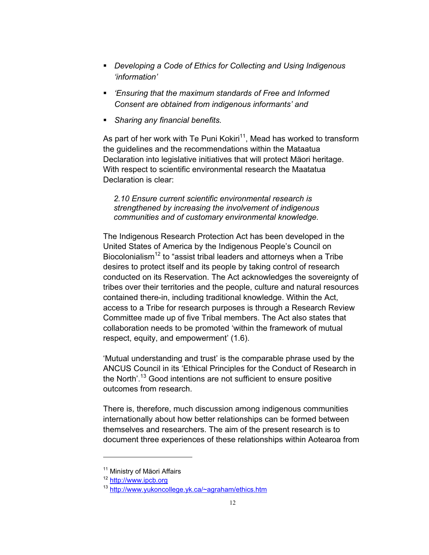- *Developing a Code of Ethics for Collecting and Using Indigenous 'information'*
- *'Ensuring that the maximum standards of Free and Informed Consent are obtained from indigenous informants' and*
- *Sharing any financial benefits.*

As part of her work with Te Puni Kokiri<sup>11</sup>, Mead has worked to transform the guidelines and the recommendations within the Mataatua Declaration into legislative initiatives that will protect Mäori heritage. With respect to scientific environmental research the Maatatua Declaration is clear:

*2.10 Ensure current scientific environmental research is strengthened by increasing the involvement of indigenous communities and of customary environmental knowledge.* 

The Indigenous Research Protection Act has been developed in the United States of America by the Indigenous People's Council on Biocolonialism<sup>12</sup> to "assist tribal leaders and attorneys when a Tribe desires to protect itself and its people by taking control of research conducted on its Reservation. The Act acknowledges the sovereignty of tribes over their territories and the people, culture and natural resources contained there-in, including traditional knowledge. Within the Act, access to a Tribe for research purposes is through a Research Review Committee made up of five Tribal members. The Act also states that collaboration needs to be promoted 'within the framework of mutual respect, equity, and empowerment' (1.6).

'Mutual understanding and trust' is the comparable phrase used by the ANCUS Council in its 'Ethical Principles for the Conduct of Research in the North'.<sup>13</sup> Good intentions are not sufficient to ensure positive outcomes from research.

There is, therefore, much discussion among indigenous communities internationally about how better relationships can be formed between themselves and researchers. The aim of the present research is to document three experiences of these relationships within Aotearoa from

<sup>&</sup>lt;sup>11</sup> Ministry of Mäori Affairs

<sup>12</sup> http://www.ipcb.org

<sup>13</sup> http://www.yukoncollege.yk.ca/~agraham/ethics.htm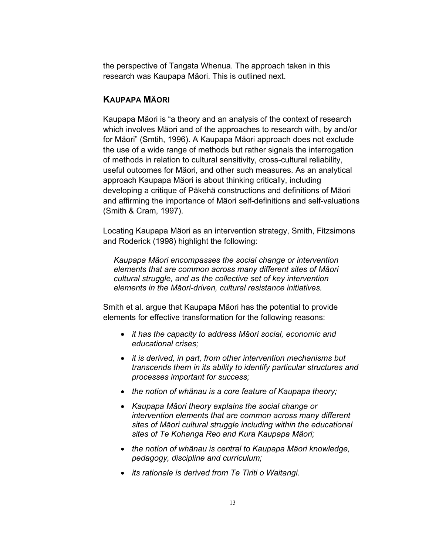the perspective of Tangata Whenua. The approach taken in this research was Kaupapa Mäori. This is outlined next.

# **KAUPAPA MÄORI**

Kaupapa Mäori is "a theory and an analysis of the context of research which involves Mäori and of the approaches to research with, by and/or for Mäori" (Smtih, 1996). A Kaupapa Mäori approach does not exclude the use of a wide range of methods but rather signals the interrogation of methods in relation to cultural sensitivity, cross-cultural reliability, useful outcomes for Mäori, and other such measures. As an analytical approach Kaupapa Mäori is about thinking critically, including developing a critique of Päkehä constructions and definitions of Mäori and affirming the importance of Mäori self-definitions and self-valuations (Smith & Cram, 1997).

Locating Kaupapa Mäori as an intervention strategy, Smith, Fitzsimons and Roderick (1998) highlight the following:

*Kaupapa Mäori encompasses the social change or intervention elements that are common across many different sites of Mäori cultural struggle, and as the collective set of key intervention elements in the Mäori-driven, cultural resistance initiatives.* 

Smith et al. argue that Kaupapa Mäori has the potential to provide elements for effective transformation for the following reasons:

- x *it has the capacity to address Mäori social, economic and educational crises;*
- x *it is derived, in part, from other intervention mechanisms but transcends them in its ability to identify particular structures and processes important for success;*
- *the notion of whänau is a core feature of Kaupapa theory;*
- x *Kaupapa Mäori theory explains the social change or intervention elements that are common across many different sites of Mäori cultural struggle including within the educational sites of Te Kohanga Reo and Kura Kaupapa Mäori;*
- the notion of whänau is central to Kaupapa Mäori knowledge, *pedagogy, discipline and curriculum;*
- **•** *its rationale is derived from Te Tiriti o Waitangi.*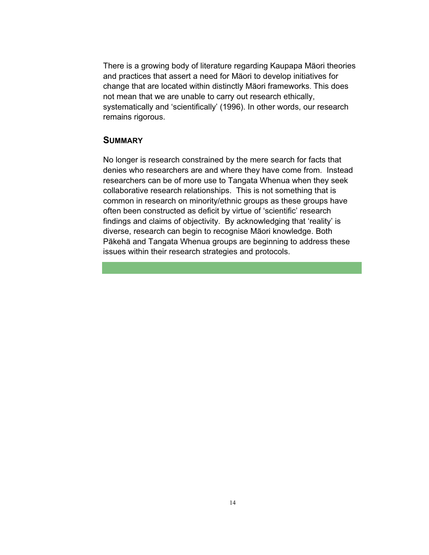There is a growing body of literature regarding Kaupapa Mäori theories and practices that assert a need for Mäori to develop initiatives for change that are located within distinctly Mäori frameworks. This does not mean that we are unable to carry out research ethically, systematically and 'scientifically' (1996). In other words, our research remains rigorous.

# **SUMMARY**

No longer is research constrained by the mere search for facts that denies who researchers are and where they have come from. Instead researchers can be of more use to Tangata Whenua when they seek collaborative research relationships. This is not something that is common in research on minority/ethnic groups as these groups have often been constructed as deficit by virtue of 'scientific' research findings and claims of objectivity. By acknowledging that 'reality' is diverse, research can begin to recognise Mäori knowledge. Both Päkehä and Tangata Whenua groups are beginning to address these issues within their research strategies and protocols.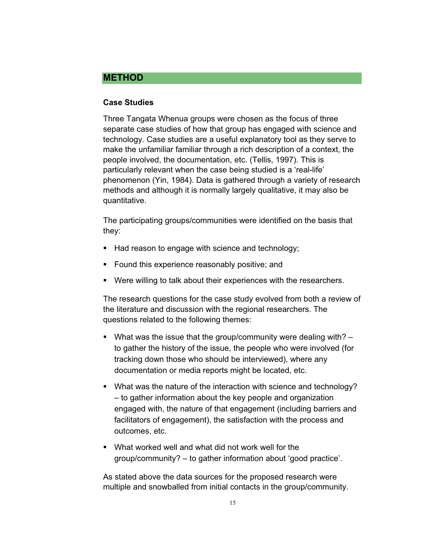# **METHOD**

### **Case Studies**

Three Tangata Whenua groups were chosen as the focus of three separate case studies of how that group has engaged with science and technology. Case studies are a useful explanatory tool as they serve to make the unfamiliar familiar through a rich description of a context, the people involved, the documentation, etc. (Tellis, 1997). This is particularly relevant when the case being studied is a 'real-life' phenomenon (Yin, 1984). Data is gathered through a variety of research methods and although it is normally largely qualitative, it may also be quantitative.

The participating groups/communities were identified on the basis that they:

- Had reason to engage with science and technology;
- Found this experience reasonably positive; and
- Were willing to talk about their experiences with the researchers.

The research questions for the case study evolved from both a review of the literature and discussion with the regional researchers. The questions related to the following themes:

- What was the issue that the group/community were dealing with? to gather the history of the issue, the people who were involved (for tracking down those who should be interviewed), where any documentation or media reports might be located, etc.
- What was the nature of the interaction with science and technology? – to gather information about the key people and organization engaged with, the nature of that engagement (including barriers and facilitators of engagement), the satisfaction with the process and outcomes, etc.
- What worked well and what did not work well for the group/community? – to gather information about 'good practice'.

As stated above the data sources for the proposed research were multiple and snowballed from initial contacts in the group/community.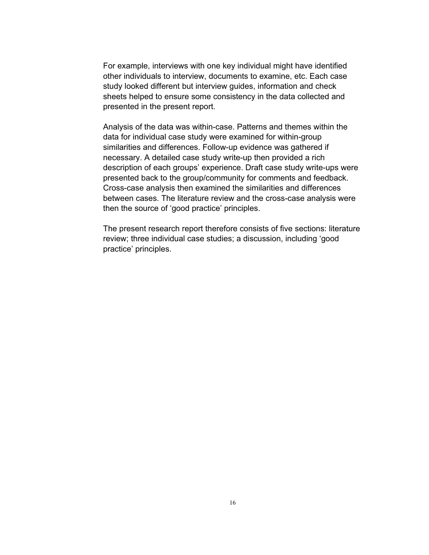For example, interviews with one key individual might have identified other individuals to interview, documents to examine, etc. Each case study looked different but interview guides, information and check sheets helped to ensure some consistency in the data collected and presented in the present report.

Analysis of the data was within-case. Patterns and themes within the data for individual case study were examined for within-group similarities and differences. Follow-up evidence was gathered if necessary. A detailed case study write-up then provided a rich description of each groups' experience. Draft case study write-ups were presented back to the group/community for comments and feedback. Cross-case analysis then examined the similarities and differences between cases. The literature review and the cross-case analysis were then the source of 'good practice' principles.

The present research report therefore consists of five sections: literature review; three individual case studies; a discussion, including 'good practice' principles.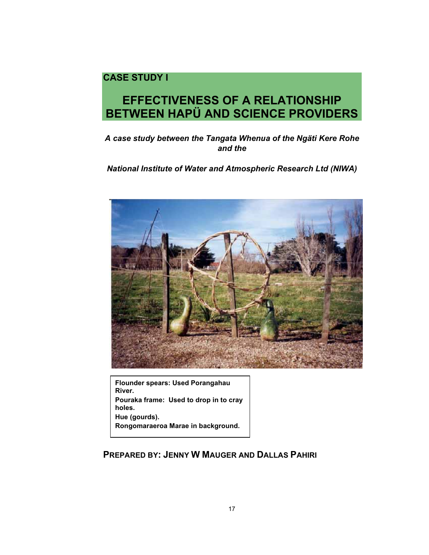# **CASE STUDY I**

# **EFFECTIVENESS OF A RELATIONSHIP BETWEEN HAPÜ AND SCIENCE PROVIDERS**

# *A case study between the Tangata Whenua of the Ngäti Kere Rohe and the*

# *National Institute of Water and Atmospheric Research Ltd (NIWA)*



**Flounder spears: Used Porangahau River. Pouraka frame: Used to drop in to cray holes. Hue (gourds). Rongomaraeroa Marae in background.** 

# **PREPARED BY: JENNY W MAUGER AND DALLAS PAHIRI**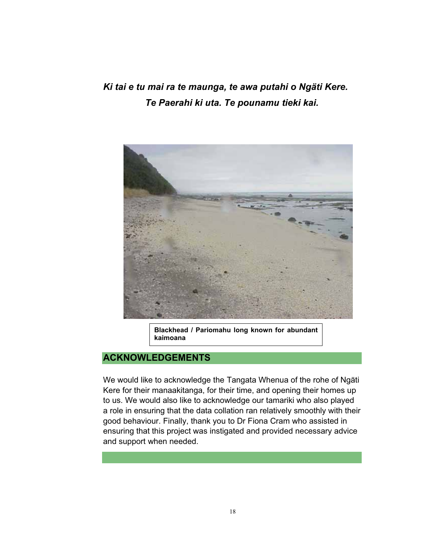*Ki tai e tu mai ra te maunga, te awa putahi o Ngäti Kere. Te Paerahi ki uta. Te pounamu tieki kai.* 



**Blackhead / Pariomahu long known for abundant kaimoana**

# **ACKNOWLEDGEMENTS**

We would like to acknowledge the Tangata Whenua of the rohe of Ngäti Kere for their manaakitanga, for their time, and opening their homes up to us. We would also like to acknowledge our tamariki who also played a role in ensuring that the data collation ran relatively smoothly with their good behaviour. Finally, thank you to Dr Fiona Cram who assisted in ensuring that this project was instigated and provided necessary advice and support when needed.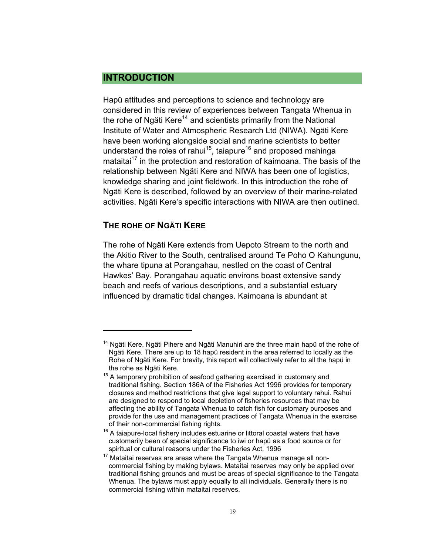# **INTRODUCTION**

Hapü attitudes and perceptions to science and technology are considered in this review of experiences between Tangata Whenua in the rohe of Ngäti Kere<sup>14</sup> and scientists primarily from the National Institute of Water and Atmospheric Research Ltd (NIWA). Ngäti Kere have been working alongside social and marine scientists to better understand the roles of rahui<sup>15</sup>, taiapure<sup>16</sup> and proposed mahinga mataitai<sup>17</sup> in the protection and restoration of kaimoana. The basis of the relationship between Ngäti Kere and NIWA has been one of logistics, knowledge sharing and joint fieldwork. In this introduction the rohe of Ngäti Kere is described, followed by an overview of their marine-related activities. Ngäti Kere's specific interactions with NIWA are then outlined.

# **THE ROHE OF NGÄTI KERE**

 $\overline{a}$ 

The rohe of Ngäti Kere extends from Uepoto Stream to the north and the Akitio River to the South, centralised around Te Poho O Kahungunu, the whare tipuna at Porangahau, nestled on the coast of Central Hawkes' Bay. Porangahau aquatic environs boast extensive sandy beach and reefs of various descriptions, and a substantial estuary influenced by dramatic tidal changes. Kaimoana is abundant at

 $14$  Ngäti Kere, Ngäti Pihere and Ngäti Manuhiri are the three main hapü of the rohe of Ngäti Kere. There are up to 18 hapü resident in the area referred to locally as the Rohe of Ngäti Kere. For brevity, this report will collectively refer to all the hapü in the rohe as Ngäti Kere.

 $15$  A temporary prohibition of seafood gathering exercised in customary and traditional fishing. Section 186A of the Fisheries Act 1996 provides for temporary closures and method restrictions that give legal support to voluntary rahui. Rahui are designed to respond to local depletion of fisheries resources that may be affecting the ability of Tangata Whenua to catch fish for customary purposes and provide for the use and management practices of Tangata Whenua in the exercise of their non-commercial fishing rights.

 $16$  A taiapure-local fishery includes estuarine or littoral coastal waters that have customarily been of special significance to iwi or hapü as a food source or for spiritual or cultural reasons under the Fisheries Act, 1996

 $17$  Mataitai reserves are areas where the Tangata Whenua manage all noncommercial fishing by making bylaws. Mataitai reserves may only be applied over traditional fishing grounds and must be areas of special significance to the Tangata Whenua. The bylaws must apply equally to all individuals. Generally there is no commercial fishing within mataitai reserves.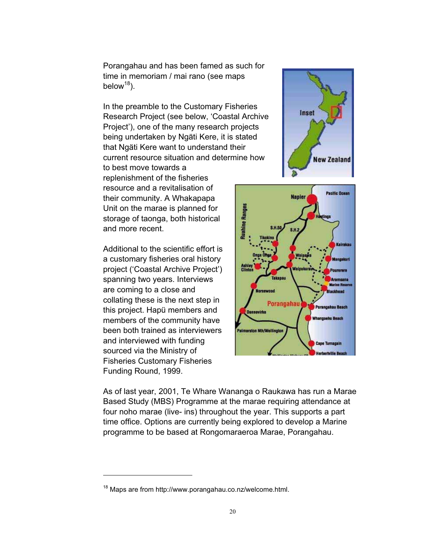Porangahau and has been famed as such for time in memoriam / mai rano (see maps below $18$ ).

In the preamble to the Customary Fisheries Research Project (see below, 'Coastal Archive Project'), one of the many research projects being undertaken by Ngäti Kere, it is stated that Ngäti Kere want to understand their current resource situation and determine how to best move towards a replenishment of the fisheries resource and a revitalisation of their community. A Whakapapa Unit on the marae is planned for storage of taonga, both historical and more recent.

Additional to the scientific effort is a customary fisheries oral history project ('Coastal Archive Project') spanning two years. Interviews are coming to a close and collating these is the next step in this project. Hapü members and members of the community have been both trained as interviewers and interviewed with funding sourced via the Ministry of Fisheries Customary Fisheries Funding Round, 1999.

 $\overline{a}$ 





As of last year, 2001, Te Whare Wananga o Raukawa has run a Marae Based Study (MBS) Programme at the marae requiring attendance at four noho marae (live- ins) throughout the year. This supports a part time office. Options are currently being explored to develop a Marine programme to be based at Rongomaraeroa Marae, Porangahau.

<sup>18</sup> Maps are from http://www.porangahau.co.nz/welcome.html.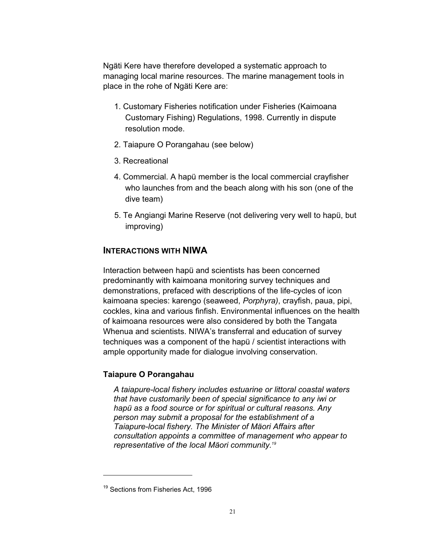Ngäti Kere have therefore developed a systematic approach to managing local marine resources. The marine management tools in place in the rohe of Ngäti Kere are:

- 1. Customary Fisheries notification under Fisheries (Kaimoana Customary Fishing) Regulations, 1998. Currently in dispute resolution mode.
- 2. Taiapure O Porangahau (see below)
- 3. Recreational
- 4. Commercial. A hapü member is the local commercial crayfisher who launches from and the beach along with his son (one of the dive team)
- 5. Te Angiangi Marine Reserve (not delivering very well to hapü, but improving)

# **INTERACTIONS WITH NIWA**

Interaction between hapü and scientists has been concerned predominantly with kaimoana monitoring survey techniques and demonstrations, prefaced with descriptions of the life-cycles of icon kaimoana species: karengo (seaweed, *Porphyra)*, crayfish, paua, pipi, cockles, kina and various finfish. Environmental influences on the health of kaimoana resources were also considered by both the Tangata Whenua and scientists. NIWA's transferral and education of survey techniques was a component of the hapü / scientist interactions with ample opportunity made for dialogue involving conservation.

# **Taiapure O Porangahau**

*A taiapure-local fishery includes estuarine or littoral coastal waters that have customarily been of special significance to any iwi or hapü as a food source or for spiritual or cultural reasons. Any person may submit a proposal for the establishment of a Taiapure-local fishery. The Minister of Mäori Affairs after consultation appoints a committee of management who appear to representative of the local Mäori community.19*

<sup>&</sup>lt;sup>19</sup> Sections from Fisheries Act, 1996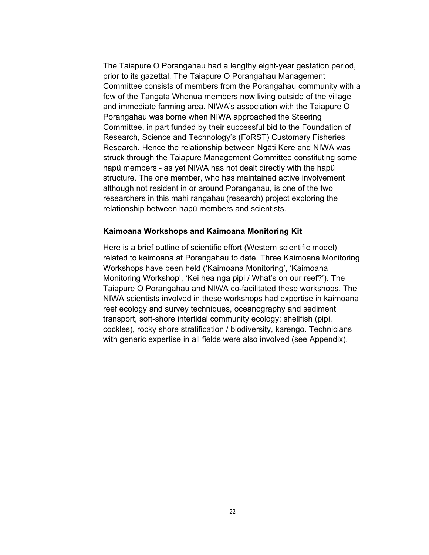The Taiapure O Porangahau had a lengthy eight-year gestation period, prior to its gazettal. The Taiapure O Porangahau Management Committee consists of members from the Porangahau community with a few of the Tangata Whenua members now living outside of the village and immediate farming area. NIWA's association with the Taiapure O Porangahau was borne when NIWA approached the Steering Committee, in part funded by their successful bid to the Foundation of Research, Science and Technology's (FoRST) Customary Fisheries Research. Hence the relationship between Ngäti Kere and NIWA was struck through the Taiapure Management Committee constituting some hapü members - as yet NIWA has not dealt directly with the hapü structure. The one member, who has maintained active involvement although not resident in or around Porangahau, is one of the two researchers in this mahi rangahau (research) project exploring the relationship between hapü members and scientists.

#### **Kaimoana Workshops and Kaimoana Monitoring Kit**

Here is a brief outline of scientific effort (Western scientific model) related to kaimoana at Porangahau to date. Three Kaimoana Monitoring Workshops have been held ('Kaimoana Monitoring', 'Kaimoana Monitoring Workshop', 'Kei hea nga pipi / What's on our reef?'). The Taiapure O Porangahau and NIWA co-facilitated these workshops. The NIWA scientists involved in these workshops had expertise in kaimoana reef ecology and survey techniques, oceanography and sediment transport, soft-shore intertidal community ecology: shellfish (pipi, cockles), rocky shore stratification / biodiversity, karengo. Technicians with generic expertise in all fields were also involved (see Appendix).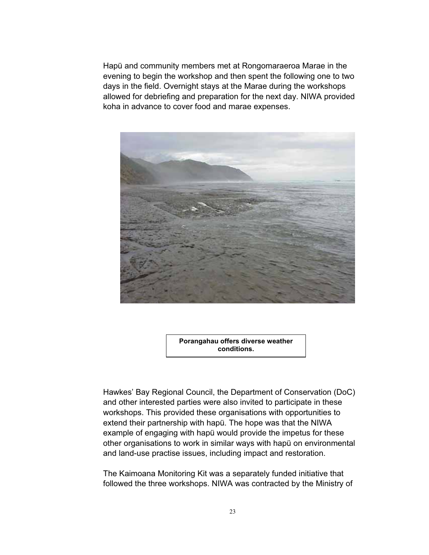Hapü and community members met at Rongomaraeroa Marae in the evening to begin the workshop and then spent the following one to two days in the field. Overnight stays at the Marae during the workshops allowed for debriefing and preparation for the next day. NIWA provided koha in advance to cover food and marae expenses.



**Porangahau offers diverse weather conditions.**

Hawkes' Bay Regional Council, the Department of Conservation (DoC) and other interested parties were also invited to participate in these workshops. This provided these organisations with opportunities to extend their partnership with hapü. The hope was that the NIWA example of engaging with hapü would provide the impetus for these other organisations to work in similar ways with hapü on environmental and land-use practise issues, including impact and restoration.

The Kaimoana Monitoring Kit was a separately funded initiative that followed the three workshops. NIWA was contracted by the Ministry of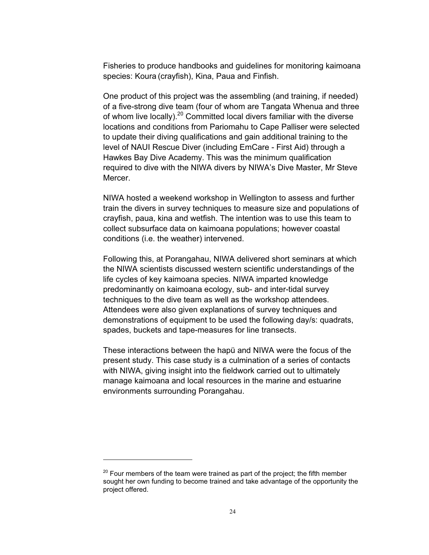Fisheries to produce handbooks and guidelines for monitoring kaimoana species: Koura (crayfish), Kina, Paua and Finfish.

One product of this project was the assembling (and training, if needed) of a five-strong dive team (four of whom are Tangata Whenua and three of whom live locally).<sup>20</sup> Committed local divers familiar with the diverse locations and conditions from Pariomahu to Cape Palliser were selected to update their diving qualifications and gain additional training to the level of NAUI Rescue Diver (including EmCare - First Aid) through a Hawkes Bay Dive Academy. This was the minimum qualification required to dive with the NIWA divers by NIWA's Dive Master, Mr Steve Mercer.

NIWA hosted a weekend workshop in Wellington to assess and further train the divers in survey techniques to measure size and populations of crayfish, paua, kina and wetfish. The intention was to use this team to collect subsurface data on kaimoana populations; however coastal conditions (i.e. the weather) intervened.

Following this, at Porangahau, NIWA delivered short seminars at which the NIWA scientists discussed western scientific understandings of the life cycles of key kaimoana species. NIWA imparted knowledge predominantly on kaimoana ecology, sub- and inter-tidal survey techniques to the dive team as well as the workshop attendees. Attendees were also given explanations of survey techniques and demonstrations of equipment to be used the following day/s: quadrats, spades, buckets and tape-measures for line transects.

These interactions between the hapü and NIWA were the focus of the present study. This case study is a culmination of a series of contacts with NIWA, giving insight into the fieldwork carried out to ultimately manage kaimoana and local resources in the marine and estuarine environments surrounding Porangahau.

 $20$  Four members of the team were trained as part of the project; the fifth member sought her own funding to become trained and take advantage of the opportunity the project offered.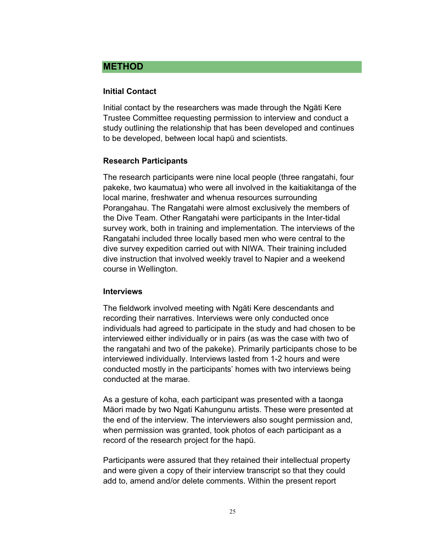# **METHOD**

### **Initial Contact**

Initial contact by the researchers was made through the Ngäti Kere Trustee Committee requesting permission to interview and conduct a study outlining the relationship that has been developed and continues to be developed, between local hapü and scientists.

### **Research Participants**

The research participants were nine local people (three rangatahi, four pakeke, two kaumatua) who were all involved in the kaitiakitanga of the local marine, freshwater and whenua resources surrounding Porangahau. The Rangatahi were almost exclusively the members of the Dive Team. Other Rangatahi were participants in the Inter-tidal survey work, both in training and implementation. The interviews of the Rangatahi included three locally based men who were central to the dive survey expedition carried out with NIWA. Their training included dive instruction that involved weekly travel to Napier and a weekend course in Wellington.

### **Interviews**

The fieldwork involved meeting with Ngäti Kere descendants and recording their narratives. Interviews were only conducted once individuals had agreed to participate in the study and had chosen to be interviewed either individually or in pairs (as was the case with two of the rangatahi and two of the pakeke). Primarily participants chose to be interviewed individually. Interviews lasted from 1-2 hours and were conducted mostly in the participants' homes with two interviews being conducted at the marae.

As a gesture of koha, each participant was presented with a taonga Mäori made by two Ngati Kahungunu artists. These were presented at the end of the interview. The interviewers also sought permission and, when permission was granted, took photos of each participant as a record of the research project for the hapü.

Participants were assured that they retained their intellectual property and were given a copy of their interview transcript so that they could add to, amend and/or delete comments. Within the present report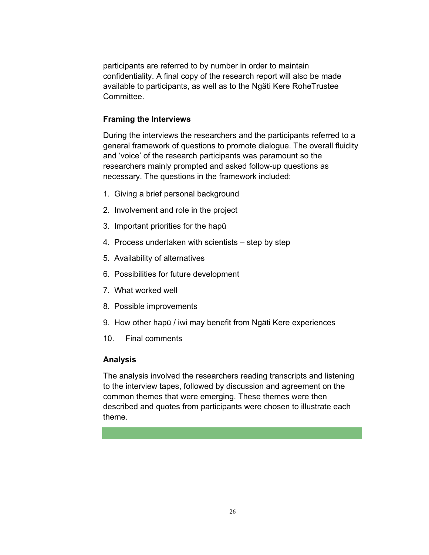participants are referred to by number in order to maintain confidentiality. A final copy of the research report will also be made available to participants, as well as to the Ngäti Kere RoheTrustee Committee.

### **Framing the Interviews**

During the interviews the researchers and the participants referred to a general framework of questions to promote dialogue. The overall fluidity and 'voice' of the research participants was paramount so the researchers mainly prompted and asked follow-up questions as necessary. The questions in the framework included:

- 1. Giving a brief personal background
- 2. Involvement and role in the project
- 3. Important priorities for the hapü
- 4. Process undertaken with scientists step by step
- 5. Availability of alternatives
- 6. Possibilities for future development
- 7. What worked well
- 8. Possible improvements
- 9. How other hapü / iwi may benefit from Ngäti Kere experiences
- 10. Final comments

### **Analysis**

The analysis involved the researchers reading transcripts and listening to the interview tapes, followed by discussion and agreement on the common themes that were emerging. These themes were then described and quotes from participants were chosen to illustrate each theme.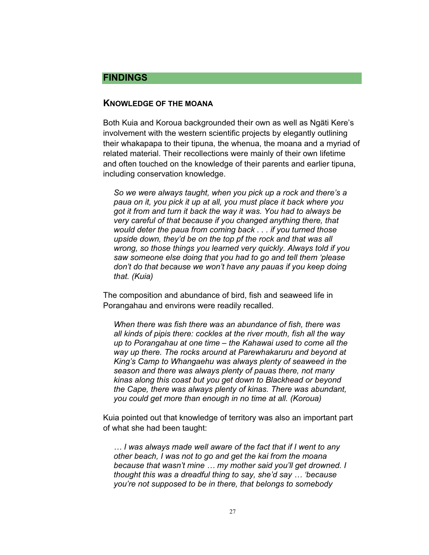# **FINDINGS**

### **KNOWLEDGE OF THE MOANA**

Both Kuia and Koroua backgrounded their own as well as Ngäti Kere's involvement with the western scientific projects by elegantly outlining their whakapapa to their tipuna, the whenua, the moana and a myriad of related material. Their recollections were mainly of their own lifetime and often touched on the knowledge of their parents and earlier tipuna, including conservation knowledge.

*So we were always taught, when you pick up a rock and there's a paua on it, you pick it up at all, you must place it back where you got it from and turn it back the way it was. You had to always be very careful of that because if you changed anything there, that would deter the paua from coming back . . . if you turned those upside down, they'd be on the top pf the rock and that was all wrong, so those things you learned very quickly. Always told if you saw someone else doing that you had to go and tell them 'please don't do that because we won't have any pauas if you keep doing that. (Kuia)* 

The composition and abundance of bird, fish and seaweed life in Porangahau and environs were readily recalled.

*When there was fish there was an abundance of fish, there was all kinds of pipis there: cockles at the river mouth, fish all the way up to Porangahau at one time – the Kahawai used to come all the way up there. The rocks around at Parewhakaruru and beyond at King's Camp to Whangaehu was always plenty of seaweed in the season and there was always plenty of pauas there, not many kinas along this coast but you get down to Blackhead or beyond the Cape, there was always plenty of kinas. There was abundant, you could get more than enough in no time at all. (Koroua)* 

Kuia pointed out that knowledge of territory was also an important part of what she had been taught:

*… I was always made well aware of the fact that if I went to any other beach, I was not to go and get the kai from the moana because that wasn't mine … my mother said you'll get drowned. I thought this was a dreadful thing to say, she'd say … 'because you're not supposed to be in there, that belongs to somebody*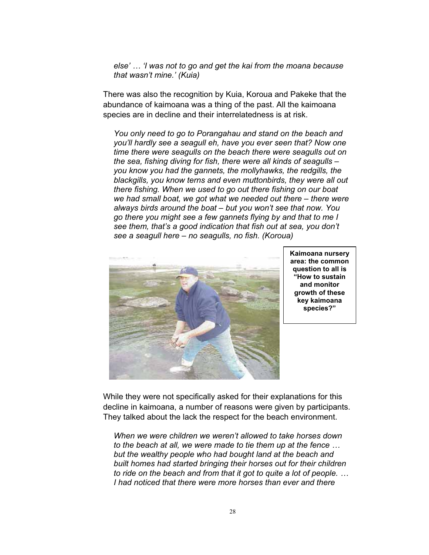*else' … 'I was not to go and get the kai from the moana because that wasn't mine.' (Kuia)* 

There was also the recognition by Kuia, Koroua and Pakeke that the abundance of kaimoana was a thing of the past. All the kaimoana species are in decline and their interrelatedness is at risk.

*You only need to go to Porangahau and stand on the beach and you'll hardly see a seagull eh, have you ever seen that? Now one time there were seagulls on the beach there were seagulls out on the sea, fishing diving for fish, there were all kinds of seagulls – you know you had the gannets, the mollyhawks, the redgills, the blackgills, you know terns and even muttonbirds, they were all out there fishing. When we used to go out there fishing on our boat we had small boat, we got what we needed out there – there were always birds around the boat – but you won't see that now. You go there you might see a few gannets flying by and that to me I see them, that's a good indication that fish out at sea, you don't see a seagull here – no seagulls, no fish. (Koroua)* 



**Kaimoana nursery area: the common question to all is "How to sustain and monitor growth of these key kaimoana species?"**

While they were not specifically asked for their explanations for this decline in kaimoana, a number of reasons were given by participants. They talked about the lack the respect for the beach environment.

*When we were children we weren't allowed to take horses down to the beach at all, we were made to tie them up at the fence … but the wealthy people who had bought land at the beach and built homes had started bringing their horses out for their children to ride on the beach and from that it got to quite a lot of people. … I had noticed that there were more horses than ever and there*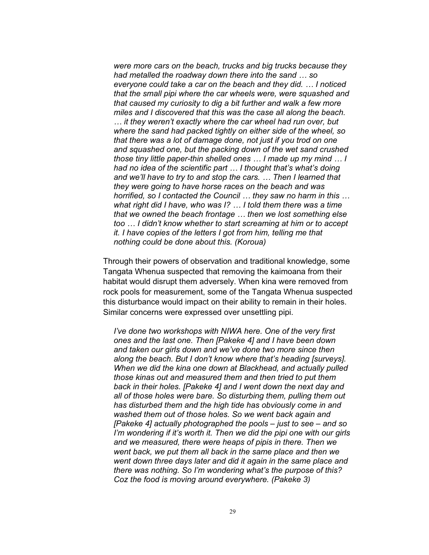*were more cars on the beach, trucks and big trucks because they had metalled the roadway down there into the sand … so everyone could take a car on the beach and they did. … I noticed that the small pipi where the car wheels were, were squashed and that caused my curiosity to dig a bit further and walk a few more miles and I discovered that this was the case all along the beach. … it they weren't exactly where the car wheel had run over, but where the sand had packed tightly on either side of the wheel, so that there was a lot of damage done, not just if you trod on one and squashed one, but the packing down of the wet sand crushed those tiny little paper-thin shelled ones … I made up my mind … I had no idea of the scientific part … I thought that's what's doing and we'll have to try to and stop the cars. … Then I learned that they were going to have horse races on the beach and was horrified, so I contacted the Council … they saw no harm in this … what right did I have, who was I? … I told them there was a time that we owned the beach frontage … then we lost something else too … I didn't know whether to start screaming at him or to accept it. I have copies of the letters I got from him, telling me that nothing could be done about this. (Koroua)* 

Through their powers of observation and traditional knowledge, some Tangata Whenua suspected that removing the kaimoana from their habitat would disrupt them adversely. When kina were removed from rock pools for measurement, some of the Tangata Whenua suspected this disturbance would impact on their ability to remain in their holes. Similar concerns were expressed over unsettling pipi.

*I've done two workshops with NIWA here. One of the very first ones and the last one. Then [Pakeke 4] and I have been down and taken our girls down and we've done two more since then along the beach. But I don't know where that's heading [surveys]. When we did the kina one down at Blackhead, and actually pulled those kinas out and measured them and then tried to put them back in their holes. [Pakeke 4] and I went down the next day and all of those holes were bare. So disturbing them, pulling them out has disturbed them and the high tide has obviously come in and washed them out of those holes. So we went back again and [Pakeke 4] actually photographed the pools – just to see – and so I'm wondering if it's worth it. Then we did the pipi one with our girls and we measured, there were heaps of pipis in there. Then we went back, we put them all back in the same place and then we went down three days later and did it again in the same place and there was nothing. So I'm wondering what's the purpose of this? Coz the food is moving around everywhere. (Pakeke 3)*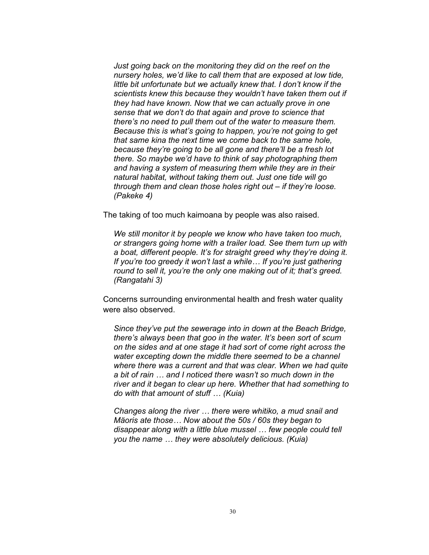*Just going back on the monitoring they did on the reef on the nursery holes, we'd like to call them that are exposed at low tide, little bit unfortunate but we actually knew that. I don't know if the scientists knew this because they wouldn't have taken them out if they had have known. Now that we can actually prove in one sense that we don't do that again and prove to science that there's no need to pull them out of the water to measure them. Because this is what's going to happen, you're not going to get that same kina the next time we come back to the same hole, because they're going to be all gone and there'll be a fresh lot there. So maybe we'd have to think of say photographing them and having a system of measuring them while they are in their natural habitat, without taking them out. Just one tide will go through them and clean those holes right out – if they're loose. (Pakeke 4)* 

The taking of too much kaimoana by people was also raised.

*We still monitor it by people we know who have taken too much, or strangers going home with a trailer load. See them turn up with a boat, different people. It's for straight greed why they're doing it. If you're too greedy it won't last a while… If you're just gathering round to sell it, you're the only one making out of it; that's greed. (Rangatahi 3)* 

Concerns surrounding environmental health and fresh water quality were also observed.

*Since they've put the sewerage into in down at the Beach Bridge, there's always been that goo in the water. It's been sort of scum on the sides and at one stage it had sort of come right across the water excepting down the middle there seemed to be a channel where there was a current and that was clear. When we had quite a bit of rain … and I noticed there wasn't so much down in the river and it began to clear up here. Whether that had something to do with that amount of stuff … (Kuia)* 

*Changes along the river … there were whitiko, a mud snail and Mäoris ate those… Now about the 50s / 60s they began to disappear along with a little blue mussel … few people could tell you the name … they were absolutely delicious. (Kuia)*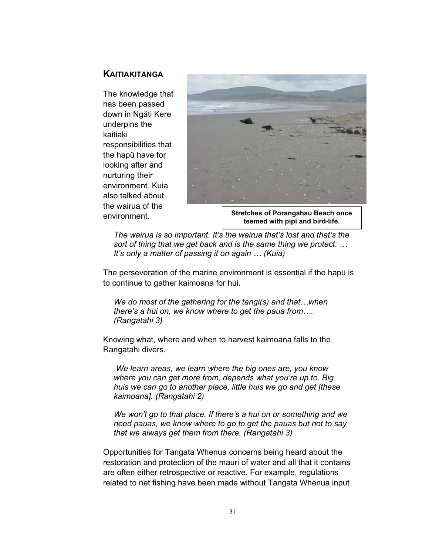# **KAITIAKITANGA**

The knowledge that has been passed down in Ngäti Kere underpins the kaitiaki responsibilities that the hapü have for looking after and nurturing their environment. Kuia also talked about the wairua of the environment.



**Stretches of Porangahau Beach once teemed with pipi and bird-life.**

*The wairua is so important. It's the wairua that's lost and that's the sort of thing that we get back and is the same thing we protect. … It's only a matter of passing it on again … (Kuia)* 

The perseveration of the marine environment is essential if the hapü is to continue to gather kaimoana for hui.

*We do most of the gathering for the tangi(s) and that…when there's a hui on, we know where to get the paua from…. (Rangatahi 3)* 

Knowing what, where and when to harvest kaimoana falls to the Rangatahi divers.

 *We learn areas, we learn where the big ones are, you know where you can get more from, depends what you're up to. Big huis we can go to another place, little huis we go and get [these kaimoana]. (Rangatahi 2)* 

*We won't go to that place. If there's a hui on or something and we need pauas, we know where to go to get the pauas but not to say that we always get them from there. (Rangatahi 3)* 

Opportunities for Tangata Whenua concerns being heard about the restoration and protection of the mauri of water and all that it contains are often either retrospective or reactive. For example, regulations related to net fishing have been made without Tangata Whenua input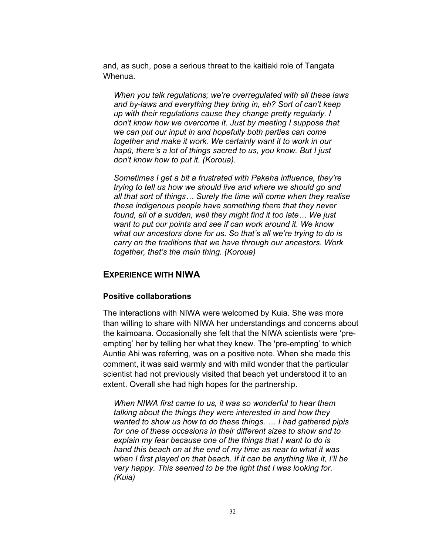and, as such, pose a serious threat to the kaitiaki role of Tangata Whenua.

*When you talk regulations; we're overregulated with all these laws and by-laws and everything they bring in, eh? Sort of can't keep up with their regulations cause they change pretty regularly. I don't know how we overcome it. Just by meeting I suppose that we can put our input in and hopefully both parties can come together and make it work. We certainly want it to work in our hapü, there's a lot of things sacred to us, you know. But I just don't know how to put it. (Koroua).* 

*Sometimes I get a bit a frustrated with Pakeha influence, they're trying to tell us how we should live and where we should go and all that sort of things… Surely the time will come when they realise these indigenous people have something there that they never found, all of a sudden, well they might find it too late… We just want to put our points and see if can work around it. We know what our ancestors done for us. So that's all we're trying to do is carry on the traditions that we have through our ancestors. Work together, that's the main thing. (Koroua)* 

# **EXPERIENCE WITH NIWA**

### **Positive collaborations**

The interactions with NIWA were welcomed by Kuia. She was more than willing to share with NIWA her understandings and concerns about the kaimoana. Occasionally she felt that the NIWA scientists were 'preempting' her by telling her what they knew. The 'pre-empting' to which Auntie Ahi was referring, was on a positive note. When she made this comment, it was said warmly and with mild wonder that the particular scientist had not previously visited that beach yet understood it to an extent. Overall she had high hopes for the partnership.

*When NIWA first came to us, it was so wonderful to hear them talking about the things they were interested in and how they wanted to show us how to do these things. … I had gathered pipis for one of these occasions in their different sizes to show and to explain my fear because one of the things that I want to do is hand this beach on at the end of my time as near to what it was when I first played on that beach. If it can be anything like it, I'll be very happy. This seemed to be the light that I was looking for. (Kuia)*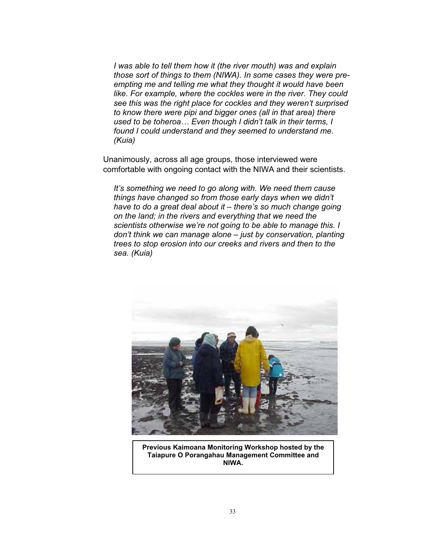*I was able to tell them how it (the river mouth) was and explain those sort of things to them (NIWA). In some cases they were preempting me and telling me what they thought it would have been like. For example, where the cockles were in the river. They could see this was the right place for cockles and they weren't surprised to know there were pipi and bigger ones (all in that area) there used to be toheroa… Even though I didn't talk in their terms, I found I could understand and they seemed to understand me. (Kuia)* 

Unanimously, across all age groups, those interviewed were comfortable with ongoing contact with the NIWA and their scientists.

*It's something we need to go along with. We need them cause things have changed so from those early days when we didn't have to do a great deal about it – there's so much change going on the land; in the rivers and everything that we need the scientists otherwise we're not going to be able to manage this. I don't think we can manage alone – just by conservation, planting trees to stop erosion into our creeks and rivers and then to the sea. (Kuia)* 



**Previous Kaimoana Monitoring Workshop hosted by the Taiapure O Porangahau Management Committee and NIWA.**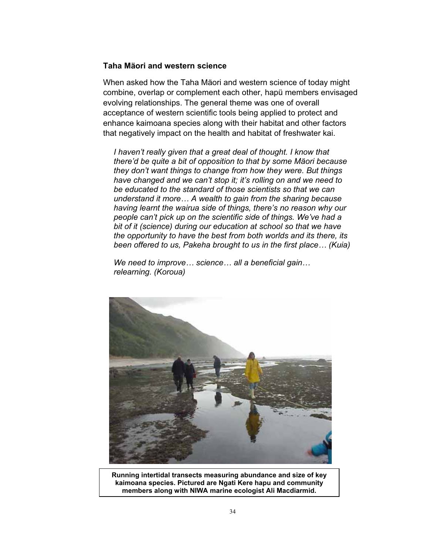### **Taha Mäori and western science**

When asked how the Taha Mäori and western science of today might combine, overlap or complement each other, hapü members envisaged evolving relationships. The general theme was one of overall acceptance of western scientific tools being applied to protect and enhance kaimoana species along with their habitat and other factors that negatively impact on the health and habitat of freshwater kai.

*I haven't really given that a great deal of thought. I know that there'd be quite a bit of opposition to that by some Mäori because they don't want things to change from how they were. But things have changed and we can't stop it; it's rolling on and we need to be educated to the standard of those scientists so that we can understand it more… A wealth to gain from the sharing because having learnt the wairua side of things, there's no reason why our people can't pick up on the scientific side of things. We've had a bit of it (science) during our education at school so that we have the opportunity to have the best from both worlds and its there, its been offered to us, Pakeha brought to us in the first place… (Kuia)* 

*We need to improve… science… all a beneficial gain… relearning. (Koroua)* 



**Running intertidal transects measuring abundance and size of key kaimoana species. Pictured are Ngati Kere hapu and community members along with NIWA marine ecologist Ali Macdiarmid.**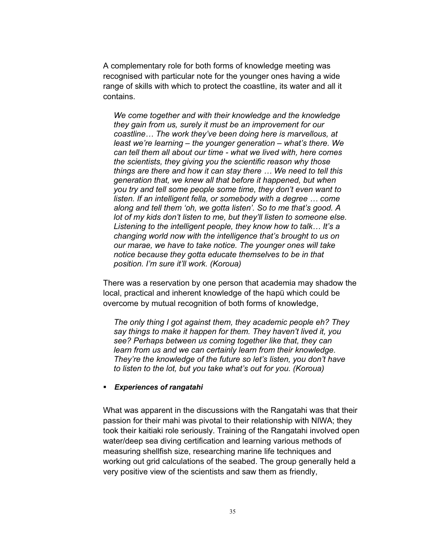A complementary role for both forms of knowledge meeting was recognised with particular note for the younger ones having a wide range of skills with which to protect the coastline, its water and all it contains.

*We come together and with their knowledge and the knowledge they gain from us, surely it must be an improvement for our coastline… The work they've been doing here is marvellous, at least we're learning – the younger generation – what's there. We can tell them all about our time - what we lived with, here comes the scientists, they giving you the scientific reason why those things are there and how it can stay there … We need to tell this generation that, we knew all that before it happened, but when you try and tell some people some time, they don't even want to listen. If an intelligent fella, or somebody with a degree … come along and tell them 'oh, we gotta listen'. So to me that's good. A lot of my kids don't listen to me, but they'll listen to someone else. Listening to the intelligent people, they know how to talk… It's a changing world now with the intelligence that's brought to us on our marae, we have to take notice. The younger ones will take notice because they gotta educate themselves to be in that position. I'm sure it'll work. (Koroua)* 

There was a reservation by one person that academia may shadow the local, practical and inherent knowledge of the hapü which could be overcome by mutual recognition of both forms of knowledge,

*The only thing I got against them, they academic people eh? They say things to make it happen for them. They haven't lived it, you see? Perhaps between us coming together like that, they can learn from us and we can certainly learn from their knowledge. They're the knowledge of the future so let's listen, you don't have to listen to the lot, but you take what's out for you. (Koroua)* 

#### *Experiences of rangatahi*

What was apparent in the discussions with the Rangatahi was that their passion for their mahi was pivotal to their relationship with NIWA; they took their kaitiaki role seriously. Training of the Rangatahi involved open water/deep sea diving certification and learning various methods of measuring shellfish size, researching marine life techniques and working out grid calculations of the seabed. The group generally held a very positive view of the scientists and saw them as friendly,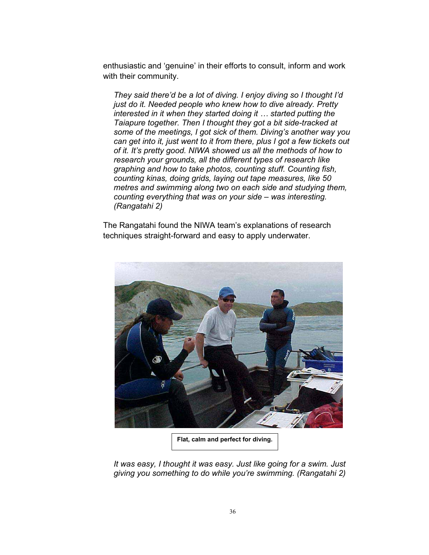enthusiastic and 'genuine' in their efforts to consult, inform and work with their community.

*They said there'd be a lot of diving. I enjoy diving so I thought I'd just do it. Needed people who knew how to dive already. Pretty interested in it when they started doing it … started putting the Taiapure together. Then I thought they got a bit side-tracked at some of the meetings, I got sick of them. Diving's another way you can get into it, just went to it from there, plus I got a few tickets out of it. It's pretty good. NIWA showed us all the methods of how to research your grounds, all the different types of research like graphing and how to take photos, counting stuff. Counting fish, counting kinas, doing grids, laying out tape measures, like 50 metres and swimming along two on each side and studying them, counting everything that was on your side – was interesting. (Rangatahi 2)* 

The Rangatahi found the NIWA team's explanations of research techniques straight-forward and easy to apply underwater.



**Flat, calm and perfect for diving.**

*It was easy, I thought it was easy. Just like going for a swim. Just giving you something to do while you're swimming. (Rangatahi 2)*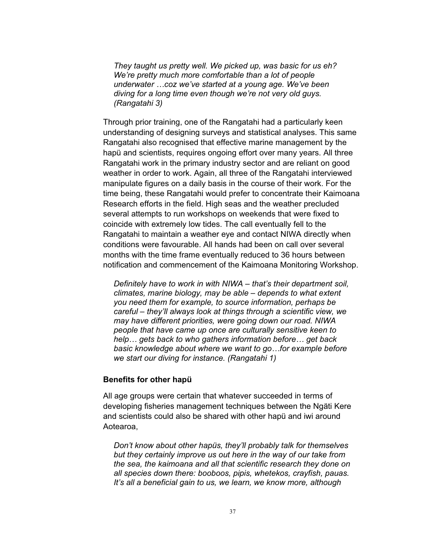*They taught us pretty well. We picked up, was basic for us eh? We're pretty much more comfortable than a lot of people underwater …coz we've started at a young age. We've been diving for a long time even though we're not very old guys. (Rangatahi 3)* 

Through prior training, one of the Rangatahi had a particularly keen understanding of designing surveys and statistical analyses. This same Rangatahi also recognised that effective marine management by the hapü and scientists, requires ongoing effort over many years. All three Rangatahi work in the primary industry sector and are reliant on good weather in order to work. Again, all three of the Rangatahi interviewed manipulate figures on a daily basis in the course of their work. For the time being, these Rangatahi would prefer to concentrate their Kaimoana Research efforts in the field. High seas and the weather precluded several attempts to run workshops on weekends that were fixed to coincide with extremely low tides. The call eventually fell to the Rangatahi to maintain a weather eye and contact NIWA directly when conditions were favourable. All hands had been on call over several months with the time frame eventually reduced to 36 hours between notification and commencement of the Kaimoana Monitoring Workshop.

*Definitely have to work in with NIWA – that's their department soil, climates, marine biology, may be able – depends to what extent you need them for example, to source information, perhaps be careful – they'll always look at things through a scientific view, we may have different priorities, were going down our road. NIWA people that have came up once are culturally sensitive keen to help… gets back to who gathers information before… get back basic knowledge about where we want to go…for example before we start our diving for instance. (Rangatahi 1)* 

#### **Benefits for other hapü**

All age groups were certain that whatever succeeded in terms of developing fisheries management techniques between the Ngäti Kere and scientists could also be shared with other hapü and iwi around Aotearoa,

*Don't know about other hapüs, they'll probably talk for themselves but they certainly improve us out here in the way of our take from the sea, the kaimoana and all that scientific research they done on all species down there: booboos, pipis, whetekos, crayfish, pauas. It's all a beneficial gain to us, we learn, we know more, although*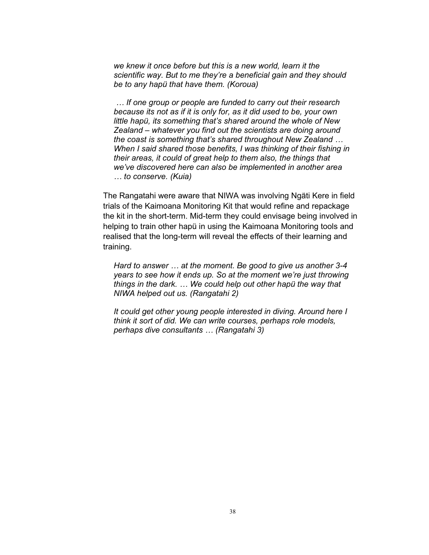*we knew it once before but this is a new world, learn it the scientific way. But to me they're a beneficial gain and they should be to any hapü that have them. (Koroua)* 

 *… If one group or people are funded to carry out their research because its not as if it is only for, as it did used to be, your own little hapü, its something that's shared around the whole of New Zealand – whatever you find out the scientists are doing around the coast is something that's shared throughout New Zealand … When I said shared those benefits, I was thinking of their fishing in their areas, it could of great help to them also, the things that we've discovered here can also be implemented in another area … to conserve. (Kuia)* 

The Rangatahi were aware that NIWA was involving Ngäti Kere in field trials of the Kaimoana Monitoring Kit that would refine and repackage the kit in the short-term. Mid-term they could envisage being involved in helping to train other hapü in using the Kaimoana Monitoring tools and realised that the long-term will reveal the effects of their learning and training.

*Hard to answer … at the moment. Be good to give us another 3-4 years to see how it ends up. So at the moment we're just throwing things in the dark. … We could help out other hapü the way that NIWA helped out us. (Rangatahi 2)*

*It could get other young people interested in diving. Around here I think it sort of did. We can write courses, perhaps role models, perhaps dive consultants … (Rangatahi 3)*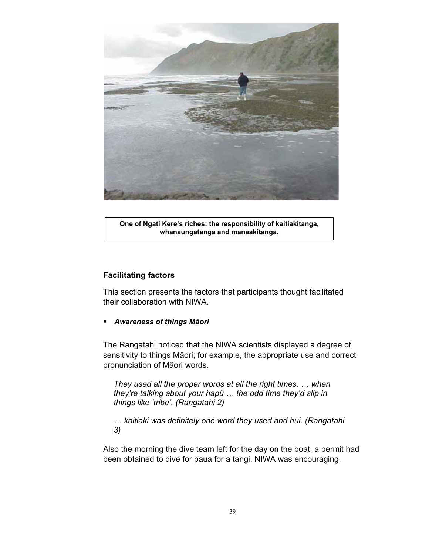

**One of Ngati Kere's riches: the responsibility of kaitiakitanga, whanaungatanga and manaakitanga.**

#### **Facilitating factors**

This section presents the factors that participants thought facilitated their collaboration with NIWA.

#### *Awareness of things Mäori*

The Rangatahi noticed that the NIWA scientists displayed a degree of sensitivity to things Mäori; for example, the appropriate use and correct pronunciation of Mäori words.

*They used all the proper words at all the right times: … when they're talking about your hapü … the odd time they'd slip in things like 'tribe'. (Rangatahi 2)* 

*… kaitiaki was definitely one word they used and hui. (Rangatahi 3)*

Also the morning the dive team left for the day on the boat, a permit had been obtained to dive for paua for a tangi. NIWA was encouraging.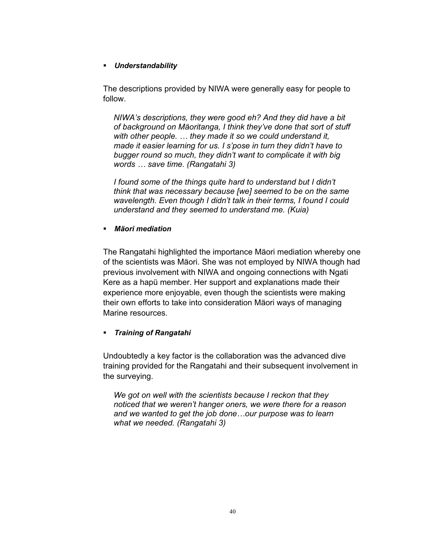#### *Understandability*

The descriptions provided by NIWA were generally easy for people to follow.

*NIWA's descriptions, they were good eh? And they did have a bit of background on Mäoritanga, I think they've done that sort of stuff with other people. … they made it so we could understand it, made it easier learning for us. I s'pose in turn they didn't have to bugger round so much, they didn't want to complicate it with big words … save time. (Rangatahi 3)* 

*I found some of the things quite hard to understand but I didn't think that was necessary because [we] seemed to be on the same wavelength. Even though I didn't talk in their terms, I found I could understand and they seemed to understand me. (Kuia)* 

#### *Mäori mediation*

The Rangatahi highlighted the importance Mäori mediation whereby one of the scientists was Mäori. She was not employed by NIWA though had previous involvement with NIWA and ongoing connections with Ngati Kere as a hapü member. Her support and explanations made their experience more enjoyable, even though the scientists were making their own efforts to take into consideration Mäori ways of managing Marine resources.

#### *Training of Rangatahi*

Undoubtedly a key factor is the collaboration was the advanced dive training provided for the Rangatahi and their subsequent involvement in the surveying.

*We got on well with the scientists because I reckon that they noticed that we weren't hanger oners, we were there for a reason and we wanted to get the job done…our purpose was to learn what we needed. (Rangatahi 3)*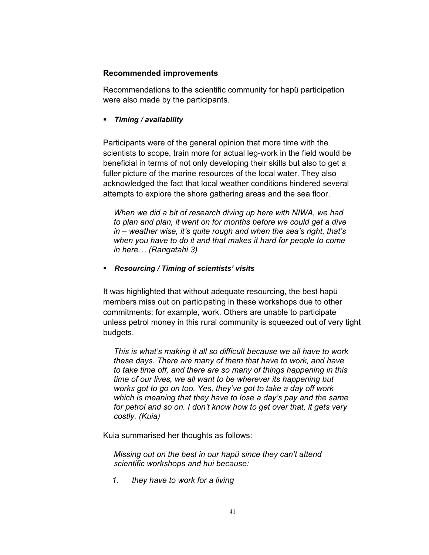#### **Recommended improvements**

Recommendations to the scientific community for hapü participation were also made by the participants.

*Timing / availability* 

Participants were of the general opinion that more time with the scientists to scope, train more for actual leg-work in the field would be beneficial in terms of not only developing their skills but also to get a fuller picture of the marine resources of the local water. They also acknowledged the fact that local weather conditions hindered several attempts to explore the shore gathering areas and the sea floor.

*When we did a bit of research diving up here with NIWA, we had to plan and plan, it went on for months before we could get a dive in – weather wise, it's quite rough and when the sea's right, that's when you have to do it and that makes it hard for people to come in here… (Rangatahi 3)* 

*Resourcing / Timing of scientists' visits* 

It was highlighted that without adequate resourcing, the best hapü members miss out on participating in these workshops due to other commitments; for example, work. Others are unable to participate unless petrol money in this rural community is squeezed out of very tight budgets.

*This is what's making it all so difficult because we all have to work these days. There are many of them that have to work, and have to take time off, and there are so many of things happening in this time of our lives, we all want to be wherever its happening but works got to go on too. Yes, they've got to take a day off work which is meaning that they have to lose a day's pay and the same for petrol and so on. I don't know how to get over that, it gets very costly. (Kuia)* 

Kuia summarised her thoughts as follows:

*Missing out on the best in our hapü since they can't attend scientific workshops and hui because:* 

*1. they have to work for a living*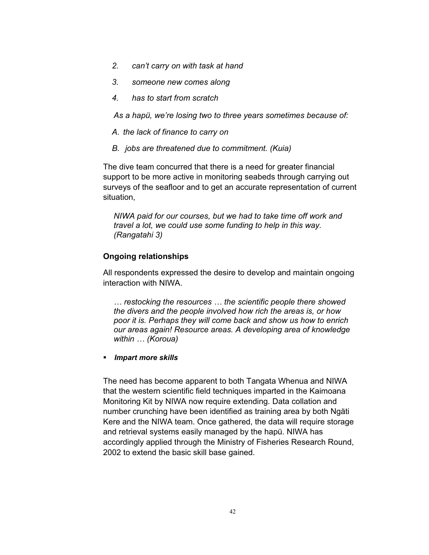- *2. can't carry on with task at hand*
- *3. someone new comes along*
- *4. has to start from scratch*

*As a hapü, we're losing two to three years sometimes because of:* 

- *A. the lack of finance to carry on*
- *B. jobs are threatened due to commitment. (Kuia)*

The dive team concurred that there is a need for greater financial support to be more active in monitoring seabeds through carrying out surveys of the seafloor and to get an accurate representation of current situation,

*NIWA paid for our courses, but we had to take time off work and travel a lot, we could use some funding to help in this way. (Rangatahi 3)* 

#### **Ongoing relationships**

All respondents expressed the desire to develop and maintain ongoing interaction with NIWA.

*… restocking the resources … the scientific people there showed the divers and the people involved how rich the areas is, or how poor it is. Perhaps they will come back and show us how to enrich our areas again! Resource areas. A developing area of knowledge within … (Koroua)* 

*Impart more skills* 

The need has become apparent to both Tangata Whenua and NIWA that the western scientific field techniques imparted in the Kaimoana Monitoring Kit by NIWA now require extending. Data collation and number crunching have been identified as training area by both Ngäti Kere and the NIWA team. Once gathered, the data will require storage and retrieval systems easily managed by the hapü. NIWA has accordingly applied through the Ministry of Fisheries Research Round, 2002 to extend the basic skill base gained.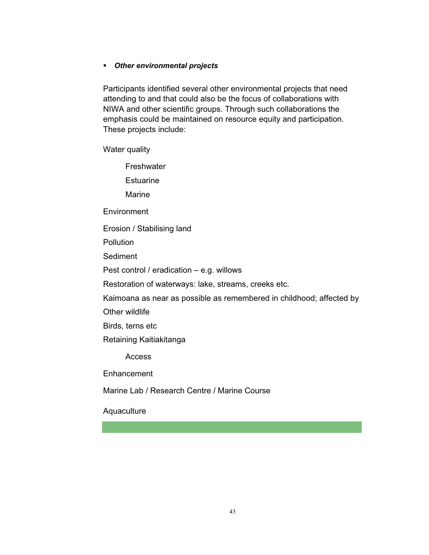#### *Other environmental projects*

Participants identified several other environmental projects that need attending to and that could also be the focus of collaborations with NIWA and other scientific groups. Through such collaborations the emphasis could be maintained on resource equity and participation. These projects include:

Water quality

**Freshwater** 

**Estuarine** 

Marine

**Environment** 

Erosion / Stabilising land

**Pollution** 

**Sediment** 

Pest control / eradication – e.g. willows

Restoration of waterways: lake, streams, creeks etc.

Kaimoana as near as possible as remembered in childhood; affected by

Other wildlife

Birds, terns etc

Retaining Kaitiakitanga

Access

**Enhancement** 

Marine Lab / Research Centre / Marine Course

**Aquaculture**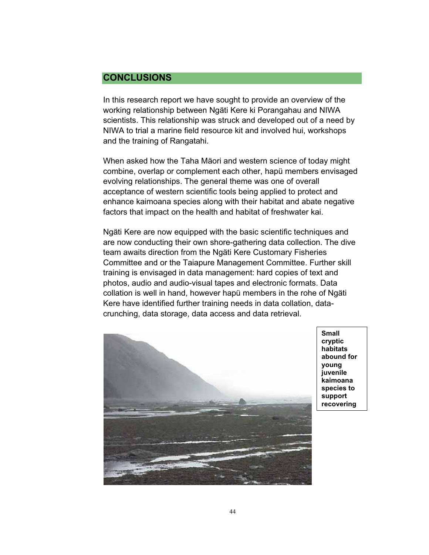# **CONCLUSIONS**

In this research report we have sought to provide an overview of the working relationship between Ngäti Kere ki Porangahau and NIWA scientists. This relationship was struck and developed out of a need by NIWA to trial a marine field resource kit and involved hui, workshops and the training of Rangatahi.

When asked how the Taha Mäori and western science of today might combine, overlap or complement each other, hapü members envisaged evolving relationships. The general theme was one of overall acceptance of western scientific tools being applied to protect and enhance kaimoana species along with their habitat and abate negative factors that impact on the health and habitat of freshwater kai.

Ngäti Kere are now equipped with the basic scientific techniques and are now conducting their own shore-gathering data collection. The dive team awaits direction from the Ngäti Kere Customary Fisheries Committee and or the Taiapure Management Committee. Further skill training is envisaged in data management: hard copies of text and photos, audio and audio-visual tapes and electronic formats. Data collation is well in hand, however hapü members in the rohe of Ngäti Kere have identified further training needs in data collation, datacrunching, data storage, data access and data retrieval.



**Small cryptic habitats abound for young juvenile kaimoana species to support recovering**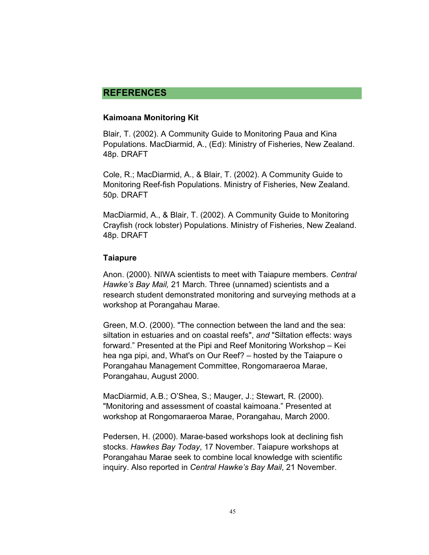# **REFERENCES**

#### **Kaimoana Monitoring Kit**

Blair, T. (2002). A Community Guide to Monitoring Paua and Kina Populations. MacDiarmid, A., (Ed): Ministry of Fisheries, New Zealand. 48p. DRAFT

Cole, R.; MacDiarmid, A., & Blair, T. (2002). A Community Guide to Monitoring Reef-fish Populations. Ministry of Fisheries, New Zealand. 50p. DRAFT

MacDiarmid, A., & Blair, T. (2002). A Community Guide to Monitoring Crayfish (rock lobster) Populations. Ministry of Fisheries, New Zealand. 48p. DRAFT

#### **Taiapure**

Anon. (2000). NIWA scientists to meet with Taiapure members. *Central Hawke's Bay Mail,* 21 March. Three (unnamed) scientists and a research student demonstrated monitoring and surveying methods at a workshop at Porangahau Marae.

Green, M.O. (2000). "The connection between the land and the sea: siltation in estuaries and on coastal reefs", *and* "Siltation effects: ways forward." Presented at the Pipi and Reef Monitoring Workshop – Kei hea nga pipi, and, What's on Our Reef? – hosted by the Taiapure o Porangahau Management Committee, Rongomaraeroa Marae, Porangahau, August 2000.

MacDiarmid, A.B.; O'Shea, S.; Mauger, J.; Stewart, R. (2000). "Monitoring and assessment of coastal kaimoana." Presented at workshop at Rongomaraeroa Marae, Porangahau, March 2000.

Pedersen, H. (2000). Marae-based workshops look at declining fish stocks. *Hawkes Bay Today*, 17 November. Taiapure workshops at Porangahau Marae seek to combine local knowledge with scientific inquiry. Also reported in *Central Hawke's Bay Mail*, 21 November.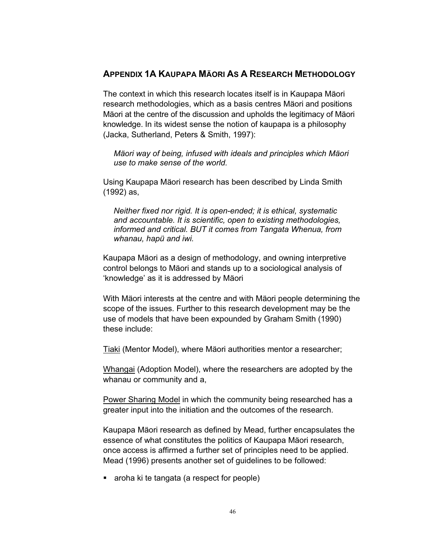### **APPENDIX 1A KAUPAPA MÄORI AS A RESEARCH METHODOLOGY**

The context in which this research locates itself is in Kaupapa Mäori research methodologies, which as a basis centres Mäori and positions Mäori at the centre of the discussion and upholds the legitimacy of Mäori knowledge. In its widest sense the notion of kaupapa is a philosophy (Jacka, Sutherland, Peters & Smith, 1997):

*Mäori way of being, infused with ideals and principles which Mäori use to make sense of the world.* 

Using Kaupapa Mäori research has been described by Linda Smith (1992) as,

*Neither fixed nor rigid. It is open-ended; it is ethical, systematic and accountable. It is scientific, open to existing methodologies, informed and critical. BUT it comes from Tangata Whenua, from whanau, hapü and iwi.* 

Kaupapa Mäori as a design of methodology, and owning interpretive control belongs to Mäori and stands up to a sociological analysis of 'knowledge' as it is addressed by Mäori

With Mäori interests at the centre and with Mäori people determining the scope of the issues. Further to this research development may be the use of models that have been expounded by Graham Smith (1990) these include:

Tiaki (Mentor Model), where Mäori authorities mentor a researcher;

Whangai (Adoption Model), where the researchers are adopted by the whanau or community and a,

Power Sharing Model in which the community being researched has a greater input into the initiation and the outcomes of the research.

Kaupapa Mäori research as defined by Mead, further encapsulates the essence of what constitutes the politics of Kaupapa Mäori research, once access is affirmed a further set of principles need to be applied. Mead (1996) presents another set of guidelines to be followed:

• aroha ki te tangata (a respect for people)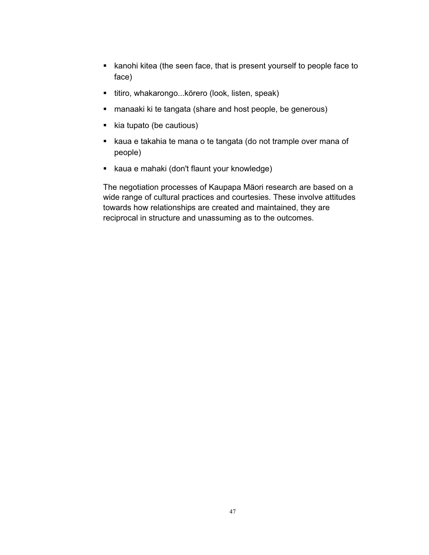- kanohi kitea (the seen face, that is present yourself to people face to face)
- **titiro, whakarongo...körero (look, listen, speak)**
- manaaki ki te tangata (share and host people, be generous)
- kia tupato (be cautious)
- kaua e takahia te mana o te tangata (do not trample over mana of people)
- kaua e mahaki (don't flaunt your knowledge)

The negotiation processes of Kaupapa Mäori research are based on a wide range of cultural practices and courtesies. These involve attitudes towards how relationships are created and maintained, they are reciprocal in structure and unassuming as to the outcomes.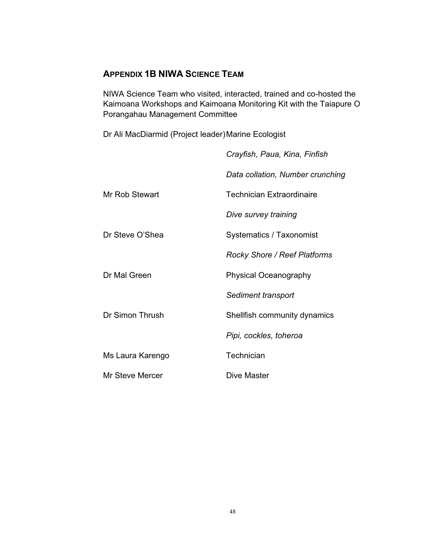# **APPENDIX 1B NIWA SCIENCE TEAM**

NIWA Science Team who visited, interacted, trained and co-hosted the Kaimoana Workshops and Kaimoana Monitoring Kit with the Taiapure O Porangahau Management Committee

Dr Ali MacDiarmid (Project leader) Marine Ecologist

|                  | Crayfish, Paua, Kina, Finfish    |
|------------------|----------------------------------|
|                  | Data collation, Number crunching |
| Mr Rob Stewart   | Technician Extraordinaire        |
|                  | Dive survey training             |
| Dr Steve O'Shea  | Systematics / Taxonomist         |
|                  | Rocky Shore / Reef Platforms     |
| Dr Mal Green     | <b>Physical Oceanography</b>     |
|                  | Sediment transport               |
| Dr Simon Thrush  | Shellfish community dynamics     |
|                  | Pipi, cockles, toheroa           |
| Ms Laura Karengo | Technician                       |
| Mr Steve Mercer  | Dive Master                      |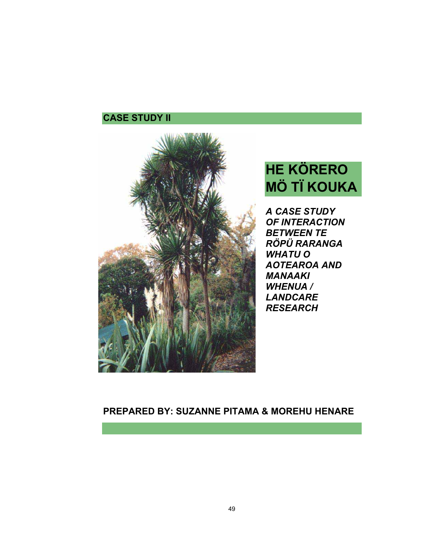# **CASE STUDY II**



# **HE KÖRERO MÖ TÏ KOUKA**

*A CASE STUDY OF INTERACTION BETWEEN TE RÖPÜ RARANGA WHATU O AOTEAROA AND MANAAKI WHENUA / LANDCARE RESEARCH*

# **PREPARED BY: SUZANNE PITAMA & MOREHU HENARE**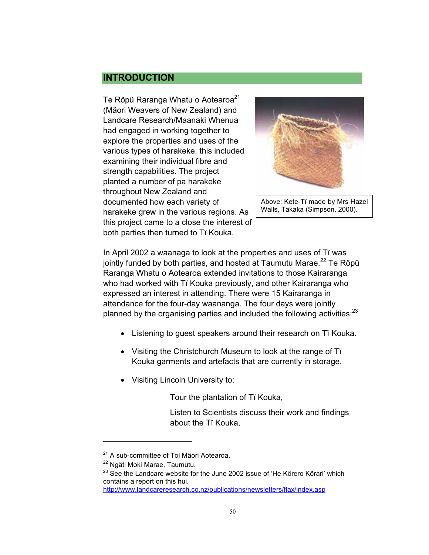# **INTRODUCTION**

Te Röpü Raranga Whatu o Aotearoa<sup>21</sup> (Mäori Weavers of New Zealand) and Landcare Research/Maanaki Whenua had engaged in working together to explore the properties and uses of the various types of harakeke, this included examining their individual fibre and strength capabilities. The project planted a number of pa harakeke throughout New Zealand and documented how each variety of harakeke grew in the various regions. As this project came to a close the interest of both parties then turned to Tï Kouka.



Above: Kete-Tï made by Mrs Hazel Walls, Takaka (Simpson, 2000).

In April 2002 a waanaga to look at the properties and uses of Tï was jointly funded by both parties, and hosted at Taumutu Marae. $^{22}$  Te Röpü Raranga Whatu o Aotearoa extended invitations to those Kairaranga who had worked with Tï Kouka previously, and other Kairaranga who expressed an interest in attending. There were 15 Kairaranga in attendance for the four-day waananga. The four days were jointly planned by the organising parties and included the following activities: $^{23}$ 

- Listening to quest speakers around their research on Tï Kouka.
- Visiting the Christchurch Museum to look at the range of Tï Kouka garments and artefacts that are currently in storage.
- Visiting Lincoln University to:

Tour the plantation of Tï Kouka,

Listen to Scientists discuss their work and findings about the Tï Kouka,

 $\overline{a}$ 

<sup>&</sup>lt;sup>21</sup> A sub-committee of Toi Mäori Aotearoa.

<sup>&</sup>lt;sup>22</sup> Ngäti Moki Marae, Taumutu.

 $23$  See the Landcare website for the June 2002 issue of 'He Körero Körari' which contains a report on this hui.

http://www.landcareresearch.co.nz/publications/newsletters/flax/index.asp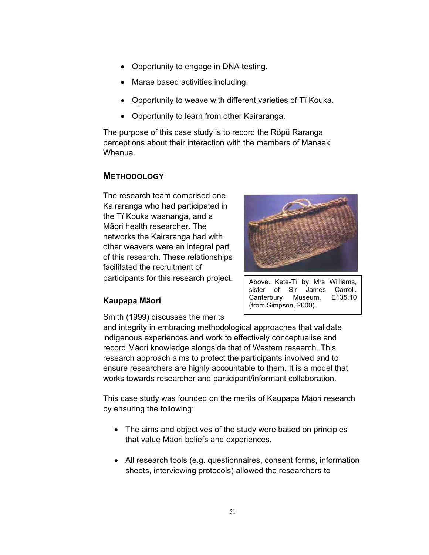- Opportunity to engage in DNA testing.
- Marae based activities including:
- Opportunity to weave with different varieties of Tï Kouka.
- Opportunity to learn from other Kairaranga.

The purpose of this case study is to record the Röpü Raranga perceptions about their interaction with the members of Manaaki Whenua.

#### **METHODOLOGY**

The research team comprised one Kairaranga who had participated in the Tï Kouka waananga, and a Mäori health researcher. The networks the Kairaranga had with other weavers were an integral part of this research. These relationships facilitated the recruitment of participants for this research project.



Above. Kete-Tï by Mrs Williams, sister of Sir James Carroll. Canterbury Museum, E135.10

(from Simpson, 2000).

# **Kaupapa Mäori**

Smith (1999) discusses the merits

and integrity in embracing methodological approaches that validate indigenous experiences and work to effectively conceptualise and record Mäori knowledge alongside that of Western research. This research approach aims to protect the participants involved and to ensure researchers are highly accountable to them. It is a model that works towards researcher and participant/informant collaboration.

This case study was founded on the merits of Kaupapa Mäori research by ensuring the following:

- The aims and objectives of the study were based on principles that value Mäori beliefs and experiences.
- All research tools (e.g. questionnaires, consent forms, information sheets, interviewing protocols) allowed the researchers to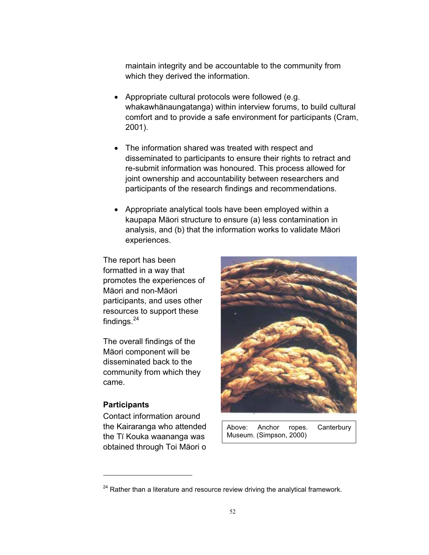maintain integrity and be accountable to the community from which they derived the information.

- Appropriate cultural protocols were followed (e.g. whakawhänaungatanga) within interview forums, to build cultural comfort and to provide a safe environment for participants (Cram, 2001).
- The information shared was treated with respect and disseminated to participants to ensure their rights to retract and re-submit information was honoured. This process allowed for joint ownership and accountability between researchers and participants of the research findings and recommendations.
- Appropriate analytical tools have been employed within a kaupapa Mäori structure to ensure (a) less contamination in analysis, and (b) that the information works to validate Mäori experiences.

The report has been formatted in a way that promotes the experiences of Mäori and non-Mäori participants, and uses other resources to support these findings. $^{24}$ 

The overall findings of the Mäori component will be disseminated back to the community from which they came.

#### **Participants**

 $\overline{a}$ 

Contact information around the Kairaranga who attended the Tï Kouka waananga was obtained through Toi Mäori o



Above: Anchor ropes. Canterbury Museum. (Simpson, 2000)

 $24$  Rather than a literature and resource review driving the analytical framework.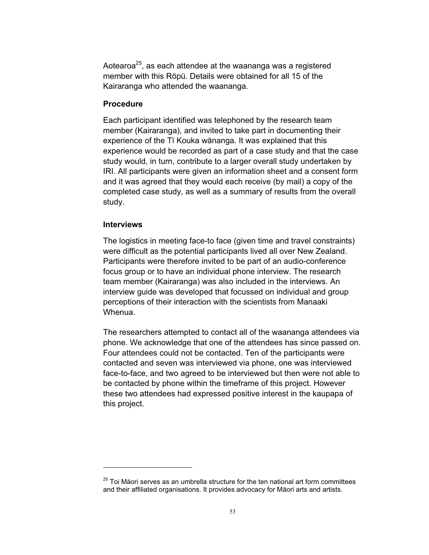Aotearoa<sup>25</sup>, as each attendee at the waananga was a registered member with this Röpü. Details were obtained for all 15 of the Kairaranga who attended the waananga.

#### **Procedure**

Each participant identified was telephoned by the research team member (Kairaranga), and invited to take part in documenting their experience of the Tï Kouka wänanga. It was explained that this experience would be recorded as part of a case study and that the case study would, in turn, contribute to a larger overall study undertaken by IRI. All participants were given an information sheet and a consent form and it was agreed that they would each receive (by mail) a copy of the completed case study, as well as a summary of results from the overall study.

#### **Interviews**

 $\overline{a}$ 

The logistics in meeting face-to face (given time and travel constraints) were difficult as the potential participants lived all over New Zealand. Participants were therefore invited to be part of an audio-conference focus group or to have an individual phone interview. The research team member (Kairaranga) was also included in the interviews. An interview guide was developed that focussed on individual and group perceptions of their interaction with the scientists from Manaaki Whenua.

The researchers attempted to contact all of the waananga attendees via phone. We acknowledge that one of the attendees has since passed on. Four attendees could not be contacted. Ten of the participants were contacted and seven was interviewed via phone, one was interviewed face-to-face, and two agreed to be interviewed but then were not able to be contacted by phone within the timeframe of this project. However these two attendees had expressed positive interest in the kaupapa of this project.

 $25$  Toi Mäori serves as an umbrella structure for the ten national art form committees and their affiliated organisations. It provides advocacy for Mäori arts and artists.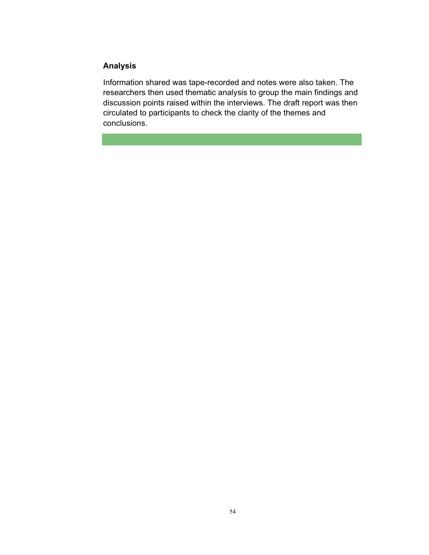### **Analysis**

Information shared was tape-recorded and notes were also taken. The researchers then used thematic analysis to group the main findings and discussion points raised within the interviews. The draft report was then circulated to participants to check the clarity of the themes and conclusions.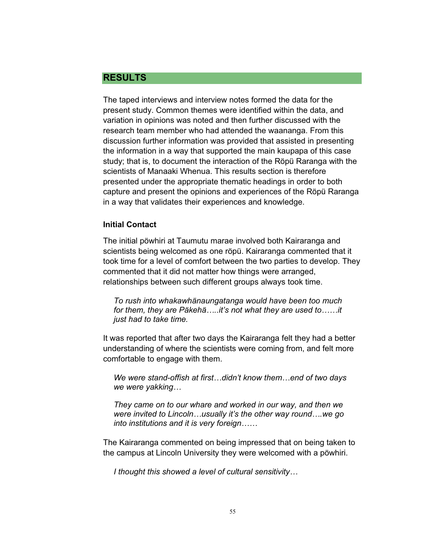#### **RESULTS**

The taped interviews and interview notes formed the data for the present study. Common themes were identified within the data, and variation in opinions was noted and then further discussed with the research team member who had attended the waananga. From this discussion further information was provided that assisted in presenting the information in a way that supported the main kaupapa of this case study; that is, to document the interaction of the Röpü Raranga with the scientists of Manaaki Whenua. This results section is therefore presented under the appropriate thematic headings in order to both capture and present the opinions and experiences of the Röpü Raranga in a way that validates their experiences and knowledge.

#### **Initial Contact**

The initial pöwhiri at Taumutu marae involved both Kairaranga and scientists being welcomed as one röpü. Kairaranga commented that it took time for a level of comfort between the two parties to develop. They commented that it did not matter how things were arranged, relationships between such different groups always took time.

*To rush into whakawhänaungatanga would have been too much for them, they are Päkehä…..it's not what they are used to……it just had to take time.* 

It was reported that after two days the Kairaranga felt they had a better understanding of where the scientists were coming from, and felt more comfortable to engage with them.

*We were stand-offish at first…didn't know them…end of two days we were yakking…* 

*They came on to our whare and worked in our way, and then we were invited to Lincoln…usually it's the other way round….we go into institutions and it is very foreign……* 

The Kairaranga commented on being impressed that on being taken to the campus at Lincoln University they were welcomed with a pöwhiri.

*I thought this showed a level of cultural sensitivity…*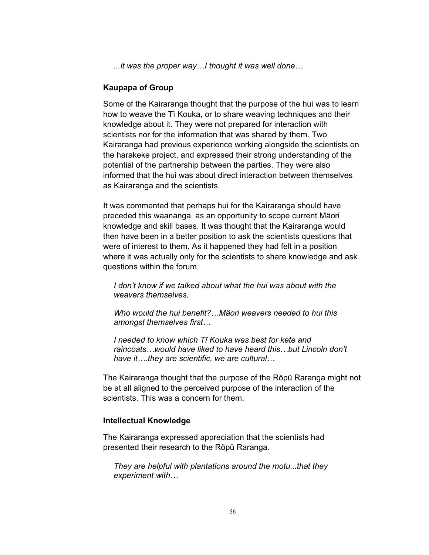*...it was the proper way…I thought it was well done…* 

#### **Kaupapa of Group**

Some of the Kairaranga thought that the purpose of the hui was to learn how to weave the Tï Kouka, or to share weaving techniques and their knowledge about it. They were not prepared for interaction with scientists nor for the information that was shared by them. Two Kairaranga had previous experience working alongside the scientists on the harakeke project, and expressed their strong understanding of the potential of the partnership between the parties. They were also informed that the hui was about direct interaction between themselves as Kairaranga and the scientists.

It was commented that perhaps hui for the Kairaranga should have preceded this waananga, as an opportunity to scope current Mäori knowledge and skill bases. It was thought that the Kairaranga would then have been in a better position to ask the scientists questions that were of interest to them. As it happened they had felt in a position where it was actually only for the scientists to share knowledge and ask questions within the forum.

*I don't know if we talked about what the hui was about with the weavers themselves.* 

*Who would the hui benefit?…Mäori weavers needed to hui this amongst themselves first…* 

*I needed to know which Tï Kouka was best for kete and raincoats…would have liked to have heard this…but Lincoln don't have it….they are scientific, we are cultural…* 

The Kairaranga thought that the purpose of the Röpü Raranga might not be at all aligned to the perceived purpose of the interaction of the scientists. This was a concern for them.

#### **Intellectual Knowledge**

The Kairaranga expressed appreciation that the scientists had presented their research to the Röpü Raranga.

*They are helpful with plantations around the motu...that they experiment with…*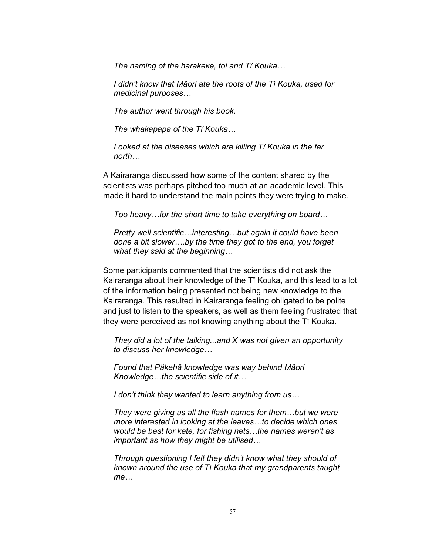*The naming of the harakeke, toi and Tï Kouka…* 

*I didn't know that Mäori ate the roots of the Tï Kouka, used for medicinal purposes…* 

*The author went through his book.* 

*The whakapapa of the Tï Kouka…* 

*Looked at the diseases which are killing Tï Kouka in the far north…* 

A Kairaranga discussed how some of the content shared by the scientists was perhaps pitched too much at an academic level. This made it hard to understand the main points they were trying to make.

*Too heavy…for the short time to take everything on board…* 

*Pretty well scientific…interesting…but again it could have been done a bit slower….by the time they got to the end, you forget what they said at the beginning…* 

Some participants commented that the scientists did not ask the Kairaranga about their knowledge of the Tï Kouka, and this lead to a lot of the information being presented not being new knowledge to the Kairaranga. This resulted in Kairaranga feeling obligated to be polite and just to listen to the speakers, as well as them feeling frustrated that they were perceived as not knowing anything about the Tï Kouka.

*They did a lot of the talking...and X was not given an opportunity to discuss her knowledge…* 

*Found that Päkehä knowledge was way behind Mäori Knowledge…the scientific side of it…* 

*I don't think they wanted to learn anything from us…* 

*They were giving us all the flash names for them…but we were more interested in looking at the leaves…to decide which ones would be best for kete, for fishing nets…the names weren't as important as how they might be utilised…* 

*Through questioning I felt they didn't know what they should of known around the use of Tï Kouka that my grandparents taught me…*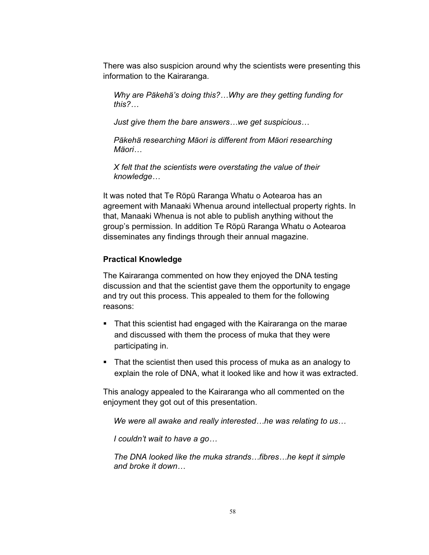There was also suspicion around why the scientists were presenting this information to the Kairaranga.

*Why are Päkehä's doing this?…Why are they getting funding for this?…*

*Just give them the bare answers…we get suspicious…* 

*Päkehä researching Mäori is different from Mäori researching Mäori…*

*X felt that the scientists were overstating the value of their knowledge…* 

It was noted that Te Röpü Raranga Whatu o Aotearoa has an agreement with Manaaki Whenua around intellectual property rights. In that, Manaaki Whenua is not able to publish anything without the group's permission. In addition Te Röpü Raranga Whatu o Aotearoa disseminates any findings through their annual magazine.

#### **Practical Knowledge**

The Kairaranga commented on how they enjoyed the DNA testing discussion and that the scientist gave them the opportunity to engage and try out this process. This appealed to them for the following reasons:

- That this scientist had engaged with the Kairaranga on the marae and discussed with them the process of muka that they were participating in.
- That the scientist then used this process of muka as an analogy to explain the role of DNA, what it looked like and how it was extracted.

This analogy appealed to the Kairaranga who all commented on the enjoyment they got out of this presentation.

*We were all awake and really interested…he was relating to us…* 

*I couldn't wait to have a go…* 

*The DNA looked like the muka strands…fibres…he kept it simple and broke it down…*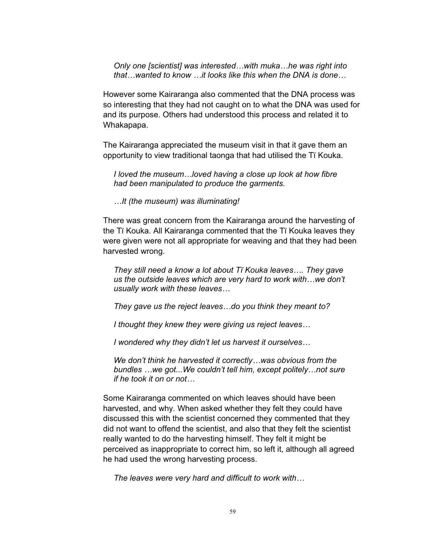*Only one [scientist] was interested…with muka…he was right into that…wanted to know …it looks like this when the DNA is done…* 

However some Kairaranga also commented that the DNA process was so interesting that they had not caught on to what the DNA was used for and its purpose. Others had understood this process and related it to Whakapapa.

The Kairaranga appreciated the museum visit in that it gave them an opportunity to view traditional taonga that had utilised the Tï Kouka.

*I loved the museum…loved having a close up look at how fibre had been manipulated to produce the garments.* 

*…It (the museum) was illuminating!* 

There was great concern from the Kairaranga around the harvesting of the Tï Kouka. All Kairaranga commented that the Tï Kouka leaves they were given were not all appropriate for weaving and that they had been harvested wrong.

*They still need a know a lot about Tï Kouka leaves…. They gave us the outside leaves which are very hard to work with…we don't usually work with these leaves…* 

*They gave us the reject leaves…do you think they meant to?* 

*I thought they knew they were giving us reject leaves…* 

*I wondered why they didn't let us harvest it ourselves…* 

*We don't think he harvested it correctly…was obvious from the bundles …we got...We couldn't tell him, except politely…not sure if he took it on or not…* 

Some Kairaranga commented on which leaves should have been harvested, and why. When asked whether they felt they could have discussed this with the scientist concerned they commented that they did not want to offend the scientist, and also that they felt the scientist really wanted to do the harvesting himself. They felt it might be perceived as inappropriate to correct him, so left it, although all agreed he had used the wrong harvesting process.

*The leaves were very hard and difficult to work with…*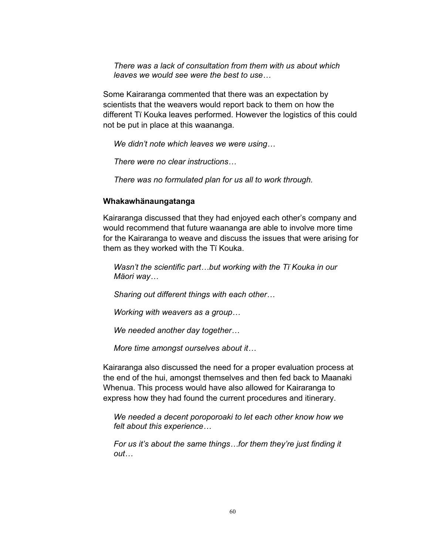*There was a lack of consultation from them with us about which leaves we would see were the best to use…* 

Some Kairaranga commented that there was an expectation by scientists that the weavers would report back to them on how the different Tï Kouka leaves performed. However the logistics of this could not be put in place at this waananga.

*We didn't note which leaves we were using…* 

*There were no clear instructions…* 

*There was no formulated plan for us all to work through.* 

#### **Whakawhänaungatanga**

Kairaranga discussed that they had enjoyed each other's company and would recommend that future waananga are able to involve more time for the Kairaranga to weave and discuss the issues that were arising for them as they worked with the Tï Kouka.

*Wasn't the scientific part…but working with the Tï Kouka in our Mäori way…* 

*Sharing out different things with each other…* 

*Working with weavers as a group…* 

*We needed another day together…* 

*More time amongst ourselves about it…* 

Kairaranga also discussed the need for a proper evaluation process at the end of the hui, amongst themselves and then fed back to Maanaki Whenua. This process would have also allowed for Kairaranga to express how they had found the current procedures and itinerary.

*We needed a decent poroporoaki to let each other know how we felt about this experience…* 

*For us it's about the same things…for them they're just finding it out…*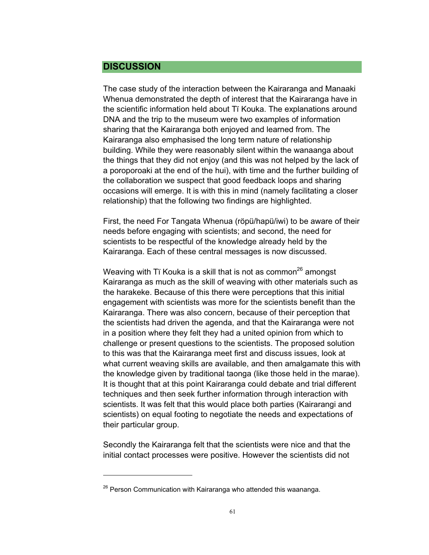### **DISCUSSION**

 $\overline{a}$ 

The case study of the interaction between the Kairaranga and Manaaki Whenua demonstrated the depth of interest that the Kairaranga have in the scientific information held about Tï Kouka. The explanations around DNA and the trip to the museum were two examples of information sharing that the Kairaranga both enjoyed and learned from. The Kairaranga also emphasised the long term nature of relationship building. While they were reasonably silent within the wanaanga about the things that they did not enjoy (and this was not helped by the lack of a poroporoaki at the end of the hui), with time and the further building of the collaboration we suspect that good feedback loops and sharing occasions will emerge. It is with this in mind (namely facilitating a closer relationship) that the following two findings are highlighted.

First, the need For Tangata Whenua (röpü/hapü/iwi) to be aware of their needs before engaging with scientists; and second, the need for scientists to be respectful of the knowledge already held by the Kairaranga. Each of these central messages is now discussed.

Weaving with Ti Kouka is a skill that is not as common<sup>26</sup> amongst Kairaranga as much as the skill of weaving with other materials such as the harakeke. Because of this there were perceptions that this initial engagement with scientists was more for the scientists benefit than the Kairaranga. There was also concern, because of their perception that the scientists had driven the agenda, and that the Kairaranga were not in a position where they felt they had a united opinion from which to challenge or present questions to the scientists. The proposed solution to this was that the Kairaranga meet first and discuss issues, look at what current weaving skills are available, and then amalgamate this with the knowledge given by traditional taonga (like those held in the marae). It is thought that at this point Kairaranga could debate and trial different techniques and then seek further information through interaction with scientists. It was felt that this would place both parties (Kairarangi and scientists) on equal footing to negotiate the needs and expectations of their particular group.

Secondly the Kairaranga felt that the scientists were nice and that the initial contact processes were positive. However the scientists did not

 $26$  Person Communication with Kairaranga who attended this waananga.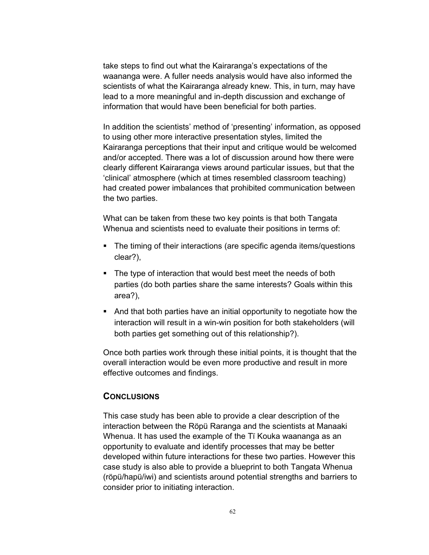take steps to find out what the Kairaranga's expectations of the waananga were. A fuller needs analysis would have also informed the scientists of what the Kairaranga already knew. This, in turn, may have lead to a more meaningful and in-depth discussion and exchange of information that would have been beneficial for both parties.

In addition the scientists' method of 'presenting' information, as opposed to using other more interactive presentation styles, limited the Kairaranga perceptions that their input and critique would be welcomed and/or accepted. There was a lot of discussion around how there were clearly different Kairaranga views around particular issues, but that the 'clinical' atmosphere (which at times resembled classroom teaching) had created power imbalances that prohibited communication between the two parties.

What can be taken from these two key points is that both Tangata Whenua and scientists need to evaluate their positions in terms of:

- The timing of their interactions (are specific agenda items/questions clear?),
- The type of interaction that would best meet the needs of both parties (do both parties share the same interests? Goals within this area?),
- And that both parties have an initial opportunity to negotiate how the interaction will result in a win-win position for both stakeholders (will both parties get something out of this relationship?).

Once both parties work through these initial points, it is thought that the overall interaction would be even more productive and result in more effective outcomes and findings.

#### **CONCLUSIONS**

This case study has been able to provide a clear description of the interaction between the Röpü Raranga and the scientists at Manaaki Whenua. It has used the example of the Tï Kouka waananga as an opportunity to evaluate and identify processes that may be better developed within future interactions for these two parties. However this case study is also able to provide a blueprint to both Tangata Whenua (röpü/hapü/iwi) and scientists around potential strengths and barriers to consider prior to initiating interaction.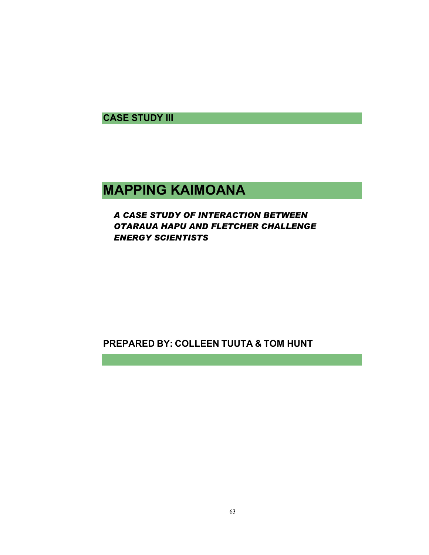**CASE STUDY III** 

# **MAPPING KAIMOANA**

# *A CASE STUDY OF INTERACTION BETWEEN OTARAUA HAPU AND FLETCHER CHALLENGE ENERGY SCIENTISTS*

# **PREPARED BY: COLLEEN TUUTA & TOM HUNT**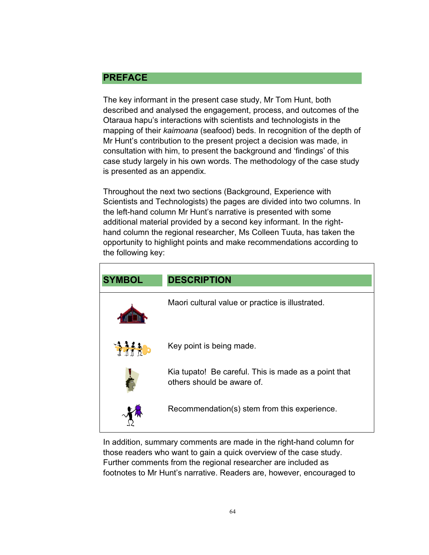# **PREFACE**

The key informant in the present case study, Mr Tom Hunt, both described and analysed the engagement, process, and outcomes of the Otaraua hapu's interactions with scientists and technologists in the mapping of their *kaimoana* (seafood) beds. In recognition of the depth of Mr Hunt's contribution to the present project a decision was made, in consultation with him, to present the background and 'findings' of this case study largely in his own words. The methodology of the case study is presented as an appendix.

Throughout the next two sections (Background, Experience with Scientists and Technologists) the pages are divided into two columns. In the left-hand column Mr Hunt's narrative is presented with some additional material provided by a second key informant. In the righthand column the regional researcher, Ms Colleen Tuuta, has taken the opportunity to highlight points and make recommendations according to the following key:

| <b>SYMBOL</b>  | <b>DESCRIPTION</b>                                                                 |
|----------------|------------------------------------------------------------------------------------|
|                | Maori cultural value or practice is illustrated.                                   |
| <b>THIT AD</b> | Key point is being made.                                                           |
|                | Kia tupato! Be careful. This is made as a point that<br>others should be aware of. |
|                | Recommendation(s) stem from this experience.                                       |

In addition, summary comments are made in the right-hand column for those readers who want to gain a quick overview of the case study. Further comments from the regional researcher are included as footnotes to Mr Hunt's narrative. Readers are, however, encouraged to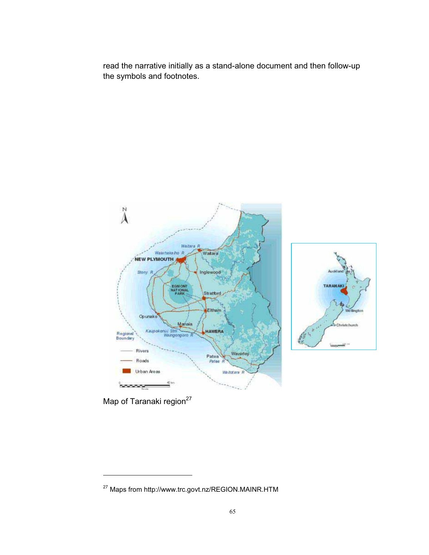read the narrative initially as a stand-alone document and then follow-up the symbols and footnotes.



Map of Taranaki region<sup>27</sup>

 $\overline{a}$ 

<sup>27</sup> Maps from http://www.trc.govt.nz/REGION.MAINR.HTM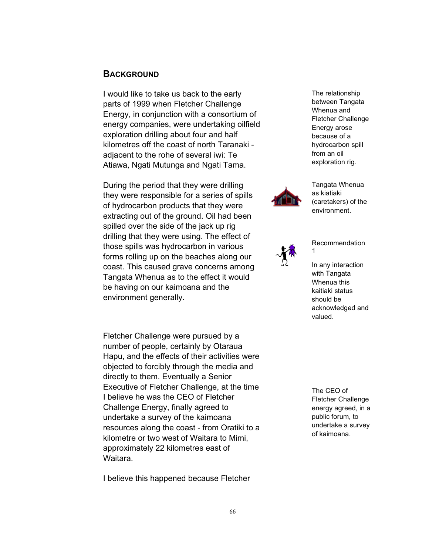#### **BACKGROUND**

I would like to take us back to the early parts of 1999 when Fletcher Challenge Energy, in conjunction with a consortium of energy companies, were undertaking oilfield exploration drilling about four and half kilometres off the coast of north Taranaki adjacent to the rohe of several iwi: Te Atiawa, Ngati Mutunga and Ngati Tama.

During the period that they were drilling they were responsible for a series of spills of hydrocarbon products that they were extracting out of the ground. Oil had been spilled over the side of the jack up rig drilling that they were using. The effect of those spills was hydrocarbon in various forms rolling up on the beaches along our coast. This caused grave concerns among Tangata Whenua as to the effect it would be having on our kaimoana and the environment generally.

Fletcher Challenge were pursued by a number of people, certainly by Otaraua Hapu, and the effects of their activities were objected to forcibly through the media and directly to them. Eventually a Senior Executive of Fletcher Challenge, at the time I believe he was the CEO of Fletcher Challenge Energy, finally agreed to undertake a survey of the kaimoana resources along the coast - from Oratiki to a kilometre or two west of Waitara to Mimi, approximately 22 kilometres east of Waitara.

I believe this happened because Fletcher

The relationship between Tangata Whenua and Fletcher Challenge Energy arose because of a hydrocarbon spill from an oil exploration rig.



Tangata Whenua as kiatiaki (caretakers) of the environment.



Recommendation 1

In any interaction with Tangata Whenua this kaitiaki status should be acknowledged and valued.

The CEO of Fletcher Challenge energy agreed, in a public forum, to undertake a survey of kaimoana.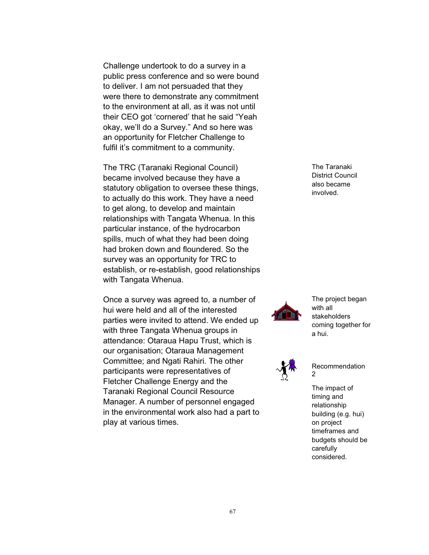Challenge undertook to do a survey in a public press conference and so were bound to deliver. I am not persuaded that they were there to demonstrate any commitment to the environment at all, as it was not until their CEO got 'cornered' that he said "Yeah okay, we'll do a Survey." And so here was an opportunity for Fletcher Challenge to fulfil it's commitment to a community.

The TRC (Taranaki Regional Council) became involved because they have a statutory obligation to oversee these things, to actually do this work. They have a need to get along, to develop and maintain relationships with Tangata Whenua. In this particular instance, of the hydrocarbon spills, much of what they had been doing had broken down and floundered. So the survey was an opportunity for TRC to establish, or re-establish, good relationships with Tangata Whenua.

Once a survey was agreed to, a number of hui were held and all of the interested parties were invited to attend. We ended up with three Tangata Whenua groups in attendance: Otaraua Hapu Trust, which is our organisation; Otaraua Management Committee; and Ngati Rahiri. The other participants were representatives of Fletcher Challenge Energy and the Taranaki Regional Council Resource Manager. A number of personnel engaged in the environmental work also had a part to play at various times.

The Taranaki District Council also became involved.



The project began with all stakeholders coming together for a hui.



Recommendation 2

The impact of timing and relationship building (e.g. hui) on project timeframes and budgets should be carefully considered.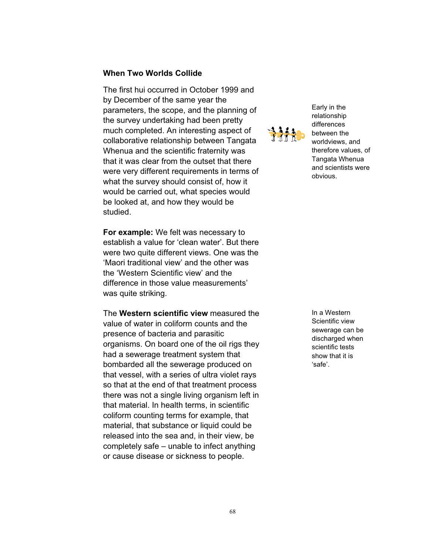#### **When Two Worlds Collide**

The first hui occurred in October 1999 and by December of the same year the parameters, the scope, and the planning of the survey undertaking had been pretty much completed. An interesting aspect of collaborative relationship between Tangata Whenua and the scientific fraternity was that it was clear from the outset that there were very different requirements in terms of what the survey should consist of, how it would be carried out, what species would be looked at, and how they would be studied.

**For example:** We felt was necessary to establish a value for 'clean water'. But there were two quite different views. One was the 'Maori traditional view' and the other was the 'Western Scientific view' and the difference in those value measurements' was quite striking.

The **Western scientific view** measured the value of water in coliform counts and the presence of bacteria and parasitic organisms. On board one of the oil rigs they had a sewerage treatment system that bombarded all the sewerage produced on that vessel, with a series of ultra violet rays so that at the end of that treatment process there was not a single living organism left in that material. In health terms, in scientific coliform counting terms for example, that material, that substance or liquid could be released into the sea and, in their view, be completely safe – unable to infect anything or cause disease or sickness to people.



Early in the relationship differences between the worldviews, and therefore values, of Tangata Whenua and scientists were obvious.

In a Western Scientific view sewerage can be discharged when scientific tests show that it is 'safe'.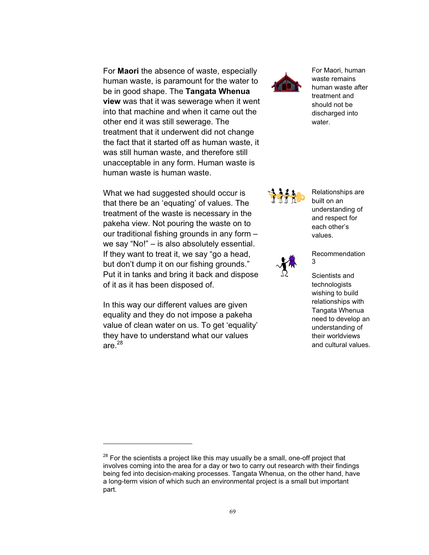For **Maori** the absence of waste, especially human waste, is paramount for the water to be in good shape. The **Tangata Whenua view** was that it was sewerage when it went into that machine and when it came out the other end it was still sewerage. The treatment that it underwent did not change the fact that it started off as human waste, it was still human waste, and therefore still unacceptable in any form. Human waste is human waste is human waste.

What we had suggested should occur is that there be an 'equating' of values. The treatment of the waste is necessary in the pakeha view. Not pouring the waste on to our traditional fishing grounds in any form – we say "No!" – is also absolutely essential. If they want to treat it, we say "go a head, but don't dump it on our fishing grounds." Put it in tanks and bring it back and dispose of it as it has been disposed of.

In this way our different values are given equality and they do not impose a pakeha value of clean water on us. To get 'equality' they have to understand what our values are. $^{28}$ 

 $\overline{a}$ 



For Maori, human waste remains human waste after treatment and should not be discharged into water.

Relationships are built on an understanding of and respect for each other's values.



Recommendation 3

Scientists and technologists wishing to build relationships with Tangata Whenua need to develop an understanding of their worldviews and cultural values.

 $28$  For the scientists a project like this may usually be a small, one-off project that involves coming into the area for a day or two to carry out research with their findings being fed into decision-making processes. Tangata Whenua, on the other hand, have a long-term vision of which such an environmental project is a small but important part.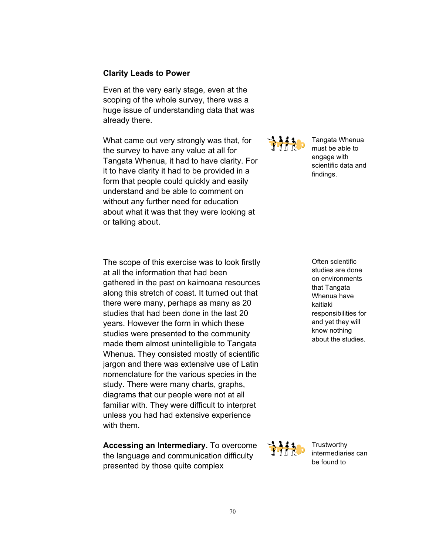#### **Clarity Leads to Power**

Even at the very early stage, even at the scoping of the whole survey, there was a huge issue of understanding data that was already there.

What came out very strongly was that, for the survey to have any value at all for Tangata Whenua, it had to have clarity. For it to have clarity it had to be provided in a form that people could quickly and easily understand and be able to comment on without any further need for education about what it was that they were looking at or talking about.

静态

Tangata Whenua must be able to engage with scientific data and findings.

The scope of this exercise was to look firstly at all the information that had been gathered in the past on kaimoana resources along this stretch of coast. It turned out that there were many, perhaps as many as 20 studies that had been done in the last 20 years. However the form in which these studies were presented to the community made them almost unintelligible to Tangata Whenua. They consisted mostly of scientific jargon and there was extensive use of Latin nomenclature for the various species in the study. There were many charts, graphs, diagrams that our people were not at all familiar with. They were difficult to interpret unless you had had extensive experience with them.

**Accessing an Intermediary.** To overcome the language and communication difficulty presented by those quite complex

Often scientific studies are done on environments that Tangata Whenua have kaitiaki responsibilities for and yet they will know nothing about the studies.



**Trustworthy** intermediaries can be found to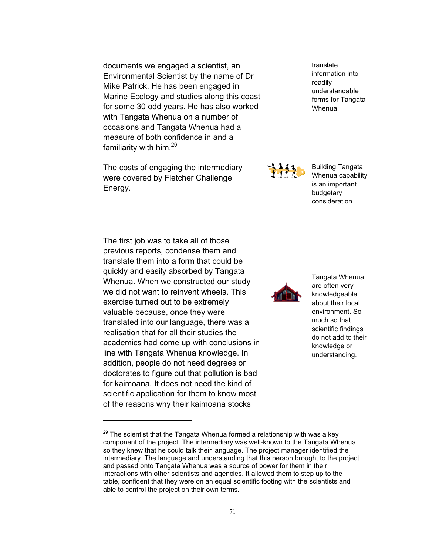documents we engaged a scientist, an Environmental Scientist by the name of Dr Mike Patrick. He has been engaged in Marine Ecology and studies along this coast for some 30 odd years. He has also worked with Tangata Whenua on a number of occasions and Tangata Whenua had a measure of both confidence in and a familiarity with him.<sup>29</sup>

The costs of engaging the intermediary were covered by Fletcher Challenge Energy.

The first job was to take all of those previous reports, condense them and translate them into a form that could be quickly and easily absorbed by Tangata Whenua. When we constructed our study we did not want to reinvent wheels. This exercise turned out to be extremely valuable because, once they were translated into our language, there was a realisation that for all their studies the academics had come up with conclusions in line with Tangata Whenua knowledge. In addition, people do not need degrees or doctorates to figure out that pollution is bad for kaimoana. It does not need the kind of scientific application for them to know most of the reasons why their kaimoana stocks

 $\overline{a}$ 



Building Tangata Whenua capability is an important budgetary consideration.



Tangata Whenua are often very knowledgeable about their local environment. So much so that scientific findings do not add to their knowledge or understanding.

translate information into readily understandable forms for Tangata Whenua.

 $29$  The scientist that the Tangata Whenua formed a relationship with was a key component of the project. The intermediary was well-known to the Tangata Whenua so they knew that he could talk their language. The project manager identified the intermediary. The language and understanding that this person brought to the project and passed onto Tangata Whenua was a source of power for them in their interactions with other scientists and agencies. It allowed them to step up to the table, confident that they were on an equal scientific footing with the scientists and able to control the project on their own terms.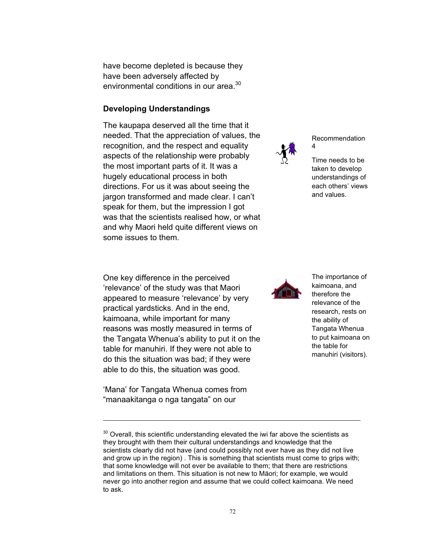have become depleted is because they have been adversely affected by environmental conditions in our area.<sup>30</sup>

### **Developing Understandings**

The kaupapa deserved all the time that it needed. That the appreciation of values, the recognition, and the respect and equality aspects of the relationship were probably the most important parts of it. It was a hugely educational process in both directions. For us it was about seeing the jargon transformed and made clear. I can't speak for them, but the impression I got was that the scientists realised how, or what and why Maori held quite different views on some issues to them.

Recommendation 4

Time needs to be taken to develop understandings of each others' views and values.

The importance of kaimoana, and therefore the relevance of the research, rests on the ability of Tangata Whenua to put kaimoana on the table for manuhiri (visitors).

One key difference in the perceived 'relevance' of the study was that Maori appeared to measure 'relevance' by very practical yardsticks. And in the end, kaimoana, while important for many reasons was mostly measured in terms of the Tangata Whenua's ability to put it on the table for manuhiri. If they were not able to do this the situation was bad; if they were able to do this, the situation was good.

'Mana' for Tangata Whenua comes from "manaakitanga o nga tangata" on our

 $\overline{a}$ 

 $30$  Overall, this scientific understanding elevated the iwi far above the scientists as they brought with them their cultural understandings and knowledge that the scientists clearly did not have (and could possibly not ever have as they did not live and grow up in the region) . This is something that scientists must come to grips with; that some knowledge will not ever be available to them; that there are restrictions and limitations on them. This situation is not new to Mäori; for example, we would never go into another region and assume that we could collect kaimoana. We need to ask.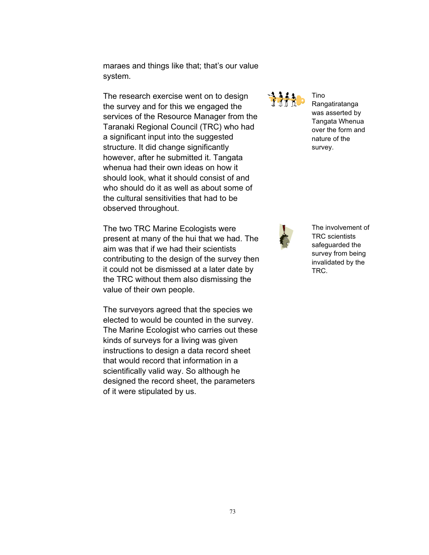maraes and things like that; that's our value system.

The research exercise went on to design the survey and for this we engaged the services of the Resource Manager from the Taranaki Regional Council (TRC) who had a significant input into the suggested structure. It did change significantly however, after he submitted it. Tangata whenua had their own ideas on how it should look, what it should consist of and who should do it as well as about some of the cultural sensitivities that had to be observed throughout.

The two TRC Marine Ecologists were present at many of the hui that we had. The aim was that if we had their scientists contributing to the design of the survey then it could not be dismissed at a later date by the TRC without them also dismissing the value of their own people.

The surveyors agreed that the species we elected to would be counted in the survey. The Marine Ecologist who carries out these kinds of surveys for a living was given instructions to design a data record sheet that would record that information in a scientifically valid way. So although he designed the record sheet, the parameters of it were stipulated by us.



Tino Rangatiratanga was asserted by Tangata Whenua over the form and nature of the survey.



The involvement of TRC scientists safeguarded the survey from being invalidated by the TRC.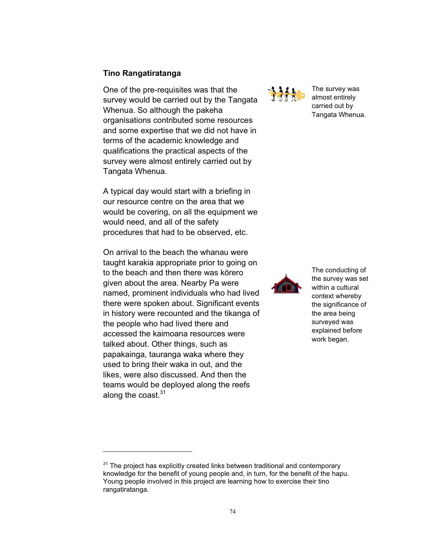### **Tino Rangatiratanga**

One of the pre-requisites was that the survey would be carried out by the Tangata Whenua. So although the pakeha organisations contributed some resources and some expertise that we did not have in terms of the academic knowledge and qualifications the practical aspects of the survey were almost entirely carried out by Tangata Whenua.

A typical day would start with a briefing in our resource centre on the area that we would be covering, on all the equipment we would need, and all of the safety procedures that had to be observed, etc.

On arrival to the beach the whanau were taught karakia appropriate prior to going on to the beach and then there was körero given about the area. Nearby Pa were named, prominent individuals who had lived there were spoken about. Significant events in history were recounted and the tikanga of the people who had lived there and accessed the kaimoana resources were talked about. Other things, such as papakainga, tauranga waka where they used to bring their waka in out, and the likes, were also discussed. And then the teams would be deployed along the reefs along the coast. $31$ 

 $\overline{a}$ 



The survey was almost entirely carried out by Tangata Whenua.



The conducting of the survey was set within a cultural context whereby the significance of the area being surveyed was explained before work began.

 $31$  The project has explicitly created links between traditional and contemporary knowledge for the benefit of young people and, in turn, for the benefit of the hapu. Young people involved in this project are learning how to exercise their tino rangatiratanga.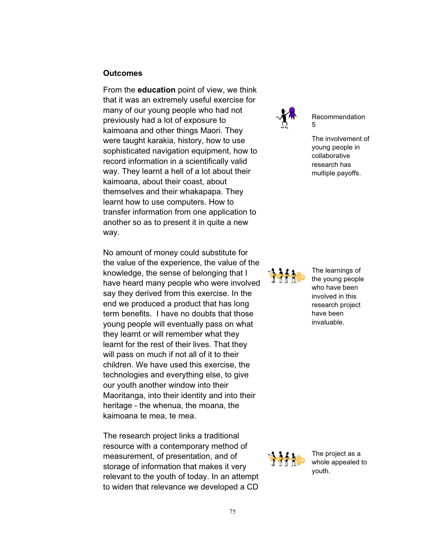#### **Outcomes**

From the **education** point of view, we think that it was an extremely useful exercise for many of our young people who had not previously had a lot of exposure to kaimoana and other things Maori. They were taught karakia, history, how to use sophisticated navigation equipment, how to record information in a scientifically valid way. They learnt a hell of a lot about their kaimoana, about their coast, about themselves and their whakapapa. They learnt how to use computers. How to transfer information from one application to another so as to present it in quite a new way.

No amount of money could substitute for the value of the experience, the value of the knowledge, the sense of belonging that I have heard many people who were involved say they derived from this exercise. In the end we produced a product that has long term benefits. I have no doubts that those young people will eventually pass on what they learnt or will remember what they learnt for the rest of their lives. That they will pass on much if not all of it to their children. We have used this exercise, the technologies and everything else, to give our youth another window into their Maoritanga, into their identity and into their heritage - the whenua, the moana, the kaimoana te mea, te mea.

The research project links a traditional resource with a contemporary method of measurement, of presentation, and of storage of information that makes it very relevant to the youth of today. In an attempt to widen that relevance we developed a CD



Recommendation 5

The involvement of young people in collaborative research has multiple payoffs.



The learnings of the young people who have been involved in this research project have been invaluable.



The project as a **Whole appealed to**<br>**Whole appealed to** youth.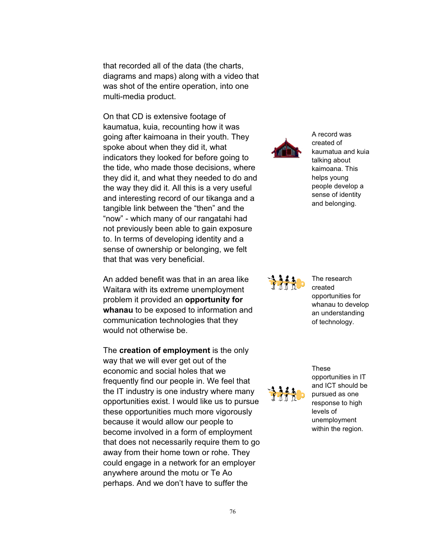that recorded all of the data (the charts, diagrams and maps) along with a video that was shot of the entire operation, into one multi-media product.

On that CD is extensive footage of kaumatua, kuia, recounting how it was going after kaimoana in their youth. They spoke about when they did it, what indicators they looked for before going to the tide, who made those decisions, where they did it, and what they needed to do and the way they did it. All this is a very useful and interesting record of our tikanga and a tangible link between the "then" and the "now" - which many of our rangatahi had not previously been able to gain exposure to. In terms of developing identity and a sense of ownership or belonging, we felt that that was very beneficial.

An added benefit was that in an area like Waitara with its extreme unemployment problem it provided an **opportunity for whanau** to be exposed to information and communication technologies that they would not otherwise be.

The **creation of employment** is the only way that we will ever get out of the economic and social holes that we frequently find our people in. We feel that the IT industry is one industry where many opportunities exist. I would like us to pursue these opportunities much more vigorously because it would allow our people to become involved in a form of employment that does not necessarily require them to go away from their home town or rohe. They could engage in a network for an employer anywhere around the motu or Te Ao perhaps. And we don't have to suffer the



A record was created of kaumatua and kuia talking about kaimoana. This helps young people develop a sense of identity and belonging.



The research created opportunities for whanau to develop an understanding of technology.



opportunities in IT and ICT should be pursued as one response to high levels of unemployment within the region.

These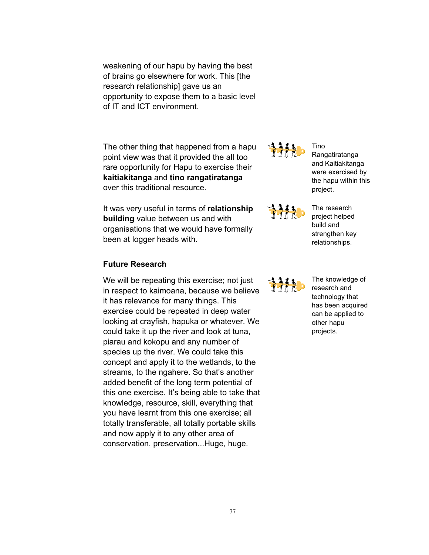weakening of our hapu by having the best of brains go elsewhere for work. This [the research relationship] gave us an opportunity to expose them to a basic level of IT and ICT environment.

The other thing that happened from a hapu point view was that it provided the all too rare opportunity for Hapu to exercise their **kaitiakitanga** and **tino rangatiratanga** over this traditional resource.

It was very useful in terms of **relationship building** value between us and with organisations that we would have formally been at logger heads with.

# **Future Research**

We will be repeating this exercise; not just in respect to kaimoana, because we believe it has relevance for many things. This exercise could be repeated in deep water looking at crayfish, hapuka or whatever. We could take it up the river and look at tuna, piarau and kokopu and any number of species up the river. We could take this concept and apply it to the wetlands, to the streams, to the ngahere. So that's another added benefit of the long term potential of this one exercise. It's being able to take that knowledge, resource, skill, everything that you have learnt from this one exercise; all totally transferable, all totally portable skills and now apply it to any other area of conservation, preservation...Huge, huge.



Rangatiratanga and Kaitiakitanga were exercised by the hapu within this project.

Tino



The research project helped build and strengthen key relationships.

The knowledge of research and technology that has been acquired can be applied to other hapu projects.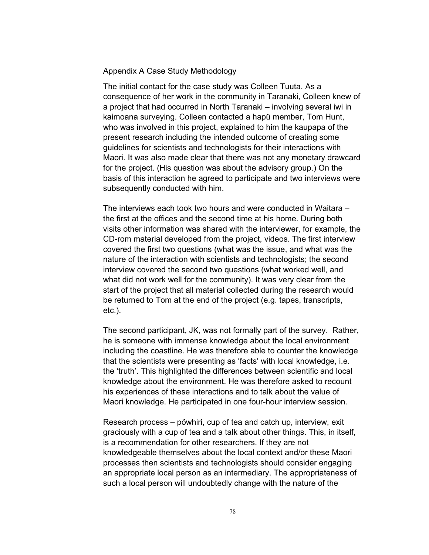Appendix A Case Study Methodology

The initial contact for the case study was Colleen Tuuta. As a consequence of her work in the community in Taranaki, Colleen knew of a project that had occurred in North Taranaki – involving several iwi in kaimoana surveying. Colleen contacted a hapü member, Tom Hunt, who was involved in this project, explained to him the kaupapa of the present research including the intended outcome of creating some guidelines for scientists and technologists for their interactions with Maori. It was also made clear that there was not any monetary drawcard for the project. (His question was about the advisory group.) On the basis of this interaction he agreed to participate and two interviews were subsequently conducted with him.

The interviews each took two hours and were conducted in Waitara – the first at the offices and the second time at his home. During both visits other information was shared with the interviewer, for example, the CD-rom material developed from the project, videos. The first interview covered the first two questions (what was the issue, and what was the nature of the interaction with scientists and technologists; the second interview covered the second two questions (what worked well, and what did not work well for the community). It was very clear from the start of the project that all material collected during the research would be returned to Tom at the end of the project (e.g. tapes, transcripts, etc.).

The second participant, JK, was not formally part of the survey. Rather, he is someone with immense knowledge about the local environment including the coastline. He was therefore able to counter the knowledge that the scientists were presenting as 'facts' with local knowledge, i.e. the 'truth'. This highlighted the differences between scientific and local knowledge about the environment. He was therefore asked to recount his experiences of these interactions and to talk about the value of Maori knowledge. He participated in one four-hour interview session.

Research process – pöwhiri, cup of tea and catch up, interview, exit graciously with a cup of tea and a talk about other things. This, in itself, is a recommendation for other researchers. If they are not knowledgeable themselves about the local context and/or these Maori processes then scientists and technologists should consider engaging an appropriate local person as an intermediary. The appropriateness of such a local person will undoubtedly change with the nature of the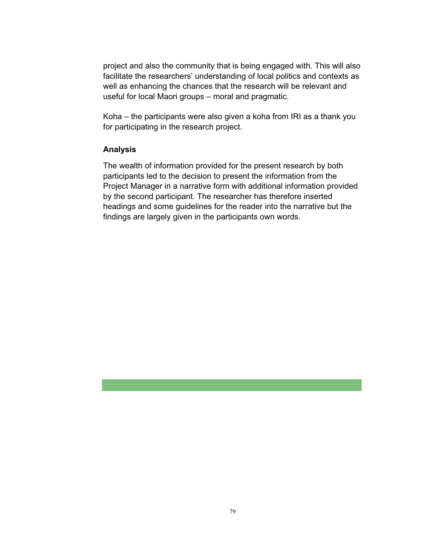project and also the community that is being engaged with. This will also facilitate the researchers' understanding of local politics and contexts as well as enhancing the chances that the research will be relevant and useful for local Maori groups – moral and pragmatic.

Koha – the participants were also given a koha from IRI as a thank you for participating in the research project.

### **Analysis**

The wealth of information provided for the present research by both participants led to the decision to present the information from the Project Manager in a narrative form with additional information provided by the second participant. The researcher has therefore inserted headings and some guidelines for the reader into the narrative but the findings are largely given in the participants own words.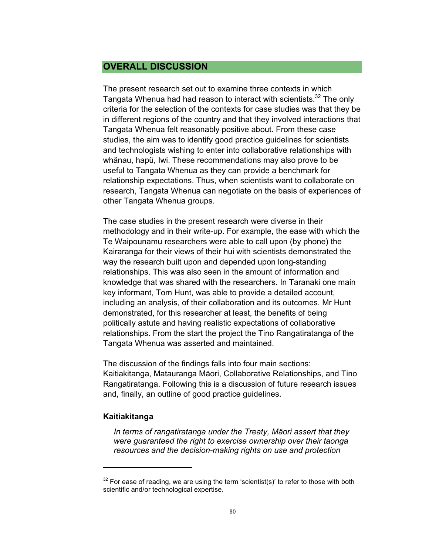# **OVERALL DISCUSSION**

The present research set out to examine three contexts in which Tangata Whenua had had reason to interact with scientists.<sup>32</sup> The only criteria for the selection of the contexts for case studies was that they be in different regions of the country and that they involved interactions that Tangata Whenua felt reasonably positive about. From these case studies, the aim was to identify good practice guidelines for scientists and technologists wishing to enter into collaborative relationships with whänau, hapü, Iwi. These recommendations may also prove to be useful to Tangata Whenua as they can provide a benchmark for relationship expectations. Thus, when scientists want to collaborate on research, Tangata Whenua can negotiate on the basis of experiences of other Tangata Whenua groups.

The case studies in the present research were diverse in their methodology and in their write-up. For example, the ease with which the Te Waipounamu researchers were able to call upon (by phone) the Kairaranga for their views of their hui with scientists demonstrated the way the research built upon and depended upon long-standing relationships. This was also seen in the amount of information and knowledge that was shared with the researchers. In Taranaki one main key informant, Tom Hunt, was able to provide a detailed account, including an analysis, of their collaboration and its outcomes. Mr Hunt demonstrated, for this researcher at least, the benefits of being politically astute and having realistic expectations of collaborative relationships. From the start the project the Tino Rangatiratanga of the Tangata Whenua was asserted and maintained.

The discussion of the findings falls into four main sections: Kaitiakitanga, Matauranga Mäori, Collaborative Relationships, and Tino Rangatiratanga. Following this is a discussion of future research issues and, finally, an outline of good practice guidelines.

### **Kaitiakitanga**

-

*In terms of rangatiratanga under the Treaty, Mäori assert that they were guaranteed the right to exercise ownership over their taonga resources and the decision-making rights on use and protection* 

 $32$  For ease of reading, we are using the term 'scientist(s)' to refer to those with both scientific and/or technological expertise.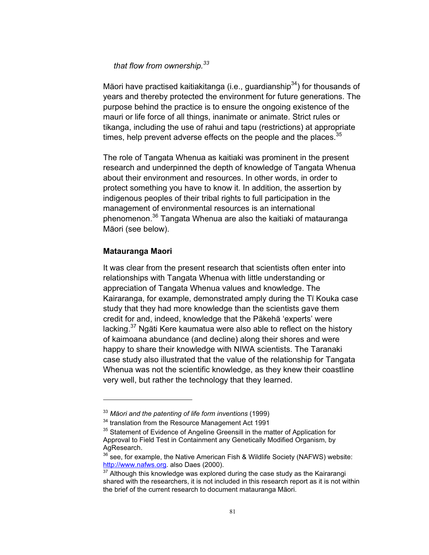### *that flow from ownership.<sup>33</sup>*

Mäori have practised kaitiakitanga (i.e., guardianship<sup>34</sup>) for thousands of years and thereby protected the environment for future generations. The purpose behind the practice is to ensure the ongoing existence of the mauri or life force of all things, inanimate or animate. Strict rules or tikanga, including the use of rahui and tapu (restrictions) at appropriate times, help prevent adverse effects on the people and the places.  $35$ 

The role of Tangata Whenua as kaitiaki was prominent in the present research and underpinned the depth of knowledge of Tangata Whenua about their environment and resources. In other words, in order to protect something you have to know it. In addition, the assertion by indigenous peoples of their tribal rights to full participation in the management of environmental resources is an international phenomenon.36 Tangata Whenua are also the kaitiaki of matauranga Mäori (see below).

### **Matauranga Maori**

 $\overline{a}$ 

It was clear from the present research that scientists often enter into relationships with Tangata Whenua with little understanding or appreciation of Tangata Whenua values and knowledge. The Kairaranga, for example, demonstrated amply during the Tï Kouka case study that they had more knowledge than the scientists gave them credit for and, indeed, knowledge that the Päkehä 'experts' were lacking.<sup>37</sup> Ngäti Kere kaumatua were also able to reflect on the history of kaimoana abundance (and decline) along their shores and were happy to share their knowledge with NIWA scientists. The Taranaki case study also illustrated that the value of the relationship for Tangata Whenua was not the scientific knowledge, as they knew their coastline very well, but rather the technology that they learned.

<sup>33</sup> *Mäori and the patenting of life form inventions* (1999)

<sup>&</sup>lt;sup>34</sup> translation from the Resource Management Act 1991

<sup>&</sup>lt;sup>35</sup> Statement of Evidence of Angeline Greensill in the matter of Application for Approval to Field Test in Containment any Genetically Modified Organism, by AgResearch.

 $36$  see, for example, the Native American Fish & Wildlife Society (NAFWS) website: http://www.nafws.org. also Daes (2000).

 $37$  Although this knowledge was explored during the case study as the Kairarangi shared with the researchers, it is not included in this research report as it is not within the brief of the current research to document matauranga Mäori.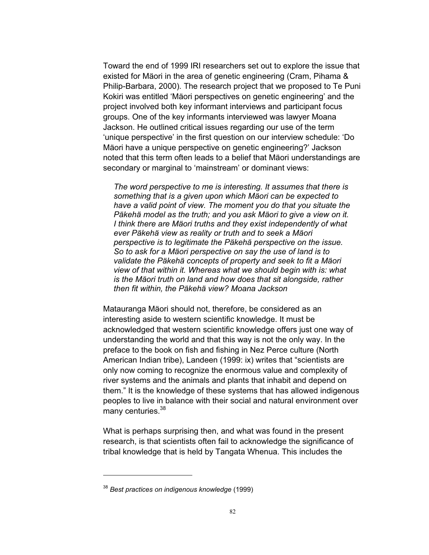Toward the end of 1999 IRI researchers set out to explore the issue that existed for Mäori in the area of genetic engineering (Cram, Pihama & Philip-Barbara, 2000). The research project that we proposed to Te Puni Kokiri was entitled 'Mäori perspectives on genetic engineering' and the project involved both key informant interviews and participant focus groups. One of the key informants interviewed was lawyer Moana Jackson. He outlined critical issues regarding our use of the term 'unique perspective' in the first question on our interview schedule: 'Do Mäori have a unique perspective on genetic engineering?' Jackson noted that this term often leads to a belief that Mäori understandings are secondary or marginal to 'mainstream' or dominant views:

*The word perspective to me is interesting. It assumes that there is something that is a given upon which Mäori can be expected to have a valid point of view. The moment you do that you situate the Päkehä model as the truth; and you ask Mäori to give a view on it. I think there are Mäori truths and they exist independently of what ever Päkehä view as reality or truth and to seek a Mäori perspective is to legitimate the Päkehä perspective on the issue. So to ask for a Mäori perspective on say the use of land is to validate the Päkehä concepts of property and seek to fit a Mäori view of that within it. Whereas what we should begin with is: what is the Mäori truth on land and how does that sit alongside, rather then fit within, the Päkehä view? Moana Jackson* 

Matauranga Mäori should not, therefore, be considered as an interesting aside to western scientific knowledge. It must be acknowledged that western scientific knowledge offers just one way of understanding the world and that this way is not the only way. In the preface to the book on fish and fishing in Nez Perce culture (North American Indian tribe), Landeen (1999: ix) writes that "scientists are only now coming to recognize the enormous value and complexity of river systems and the animals and plants that inhabit and depend on them." It is the knowledge of these systems that has allowed indigenous peoples to live in balance with their social and natural environment over many centuries.<sup>38</sup>

What is perhaps surprising then, and what was found in the present research, is that scientists often fail to acknowledge the significance of tribal knowledge that is held by Tangata Whenua. This includes the

 $\overline{a}$ 

<sup>38</sup> *Best practices on indigenous knowledge* (1999)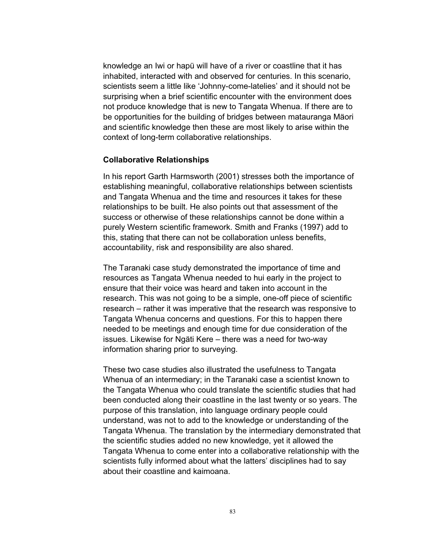knowledge an Iwi or hapü will have of a river or coastline that it has inhabited, interacted with and observed for centuries. In this scenario, scientists seem a little like 'Johnny-come-latelies' and it should not be surprising when a brief scientific encounter with the environment does not produce knowledge that is new to Tangata Whenua. If there are to be opportunities for the building of bridges between matauranga Mäori and scientific knowledge then these are most likely to arise within the context of long-term collaborative relationships.

#### **Collaborative Relationships**

In his report Garth Harmsworth (2001) stresses both the importance of establishing meaningful, collaborative relationships between scientists and Tangata Whenua and the time and resources it takes for these relationships to be built. He also points out that assessment of the success or otherwise of these relationships cannot be done within a purely Western scientific framework. Smith and Franks (1997) add to this, stating that there can not be collaboration unless benefits, accountability, risk and responsibility are also shared.

The Taranaki case study demonstrated the importance of time and resources as Tangata Whenua needed to hui early in the project to ensure that their voice was heard and taken into account in the research. This was not going to be a simple, one-off piece of scientific research – rather it was imperative that the research was responsive to Tangata Whenua concerns and questions. For this to happen there needed to be meetings and enough time for due consideration of the issues. Likewise for Ngäti Kere – there was a need for two-way information sharing prior to surveying.

These two case studies also illustrated the usefulness to Tangata Whenua of an intermediary; in the Taranaki case a scientist known to the Tangata Whenua who could translate the scientific studies that had been conducted along their coastline in the last twenty or so years. The purpose of this translation, into language ordinary people could understand, was not to add to the knowledge or understanding of the Tangata Whenua. The translation by the intermediary demonstrated that the scientific studies added no new knowledge, yet it allowed the Tangata Whenua to come enter into a collaborative relationship with the scientists fully informed about what the latters' disciplines had to say about their coastline and kaimoana.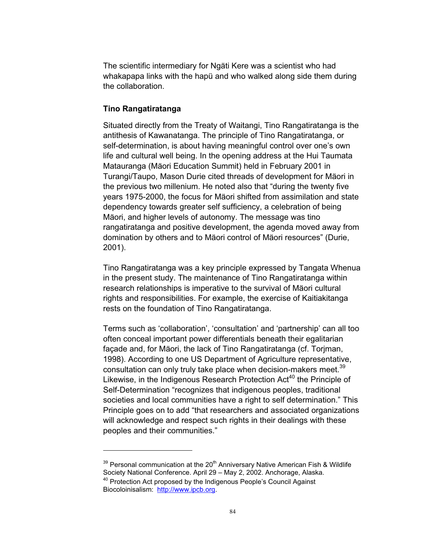The scientific intermediary for Ngäti Kere was a scientist who had whakapapa links with the hapü and who walked along side them during the collaboration.

## **Tino Rangatiratanga**

 $\overline{a}$ 

Situated directly from the Treaty of Waitangi, Tino Rangatiratanga is the antithesis of Kawanatanga. The principle of Tino Rangatiratanga, or self-determination, is about having meaningful control over one's own life and cultural well being. In the opening address at the Hui Taumata Matauranga (Mäori Education Summit) held in February 2001 in Turangi/Taupo, Mason Durie cited threads of development for Mäori in the previous two millenium. He noted also that "during the twenty five years 1975-2000, the focus for Mäori shifted from assimilation and state dependency towards greater self sufficiency, a celebration of being Mäori, and higher levels of autonomy. The message was tino rangatiratanga and positive development, the agenda moved away from domination by others and to Mäori control of Mäori resources" (Durie, 2001).

Tino Rangatiratanga was a key principle expressed by Tangata Whenua in the present study. The maintenance of Tino Rangatiratanga within research relationships is imperative to the survival of Mäori cultural rights and responsibilities. For example, the exercise of Kaitiakitanga rests on the foundation of Tino Rangatiratanga.

Terms such as 'collaboration', 'consultation' and 'partnership' can all too often conceal important power differentials beneath their egalitarian façade and, for Mäori, the lack of Tino Rangatiratanga (cf. Torjman, 1998). According to one US Department of Agriculture representative, consultation can only truly take place when decision-makers meet.<sup>39</sup> Likewise, in the Indigenous Research Protection  $Act^{40}$  the Principle of Self-Determination "recognizes that indigenous peoples, traditional societies and local communities have a right to self determination." This Principle goes on to add "that researchers and associated organizations will acknowledge and respect such rights in their dealings with these peoples and their communities."

 $39$  Personal communication at the 20<sup>th</sup> Anniversary Native American Fish & Wildlife Society National Conference. April 29 – May 2, 2002. Anchorage, Alaska.

<sup>&</sup>lt;sup>40</sup> Protection Act proposed by the Indigenous People's Council Against Biocoloinisalism: http://www.ipcb.org.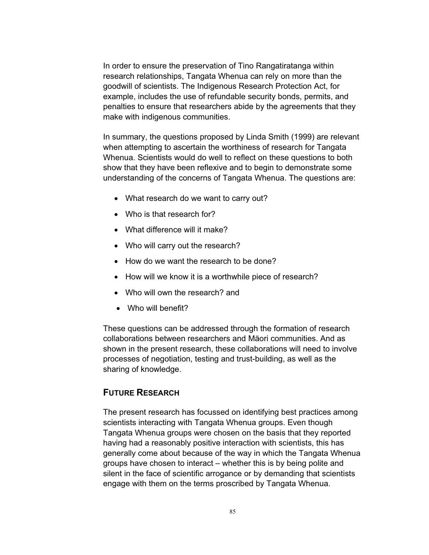In order to ensure the preservation of Tino Rangatiratanga within research relationships, Tangata Whenua can rely on more than the goodwill of scientists. The Indigenous Research Protection Act, for example, includes the use of refundable security bonds, permits, and penalties to ensure that researchers abide by the agreements that they make with indigenous communities.

In summary, the questions proposed by Linda Smith (1999) are relevant when attempting to ascertain the worthiness of research for Tangata Whenua. Scientists would do well to reflect on these questions to both show that they have been reflexive and to begin to demonstrate some understanding of the concerns of Tangata Whenua. The questions are:

- What research do we want to carry out?
- Who is that research for?
- What difference will it make?
- Who will carry out the research?
- How do we want the research to be done?
- How will we know it is a worthwhile piece of research?
- Who will own the research? and
- Who will benefit?

These questions can be addressed through the formation of research collaborations between researchers and Mäori communities. And as shown in the present research, these collaborations will need to involve processes of negotiation, testing and trust-building, as well as the sharing of knowledge.

## **FUTURE RESEARCH**

The present research has focussed on identifying best practices among scientists interacting with Tangata Whenua groups. Even though Tangata Whenua groups were chosen on the basis that they reported having had a reasonably positive interaction with scientists, this has generally come about because of the way in which the Tangata Whenua groups have chosen to interact – whether this is by being polite and silent in the face of scientific arrogance or by demanding that scientists engage with them on the terms proscribed by Tangata Whenua.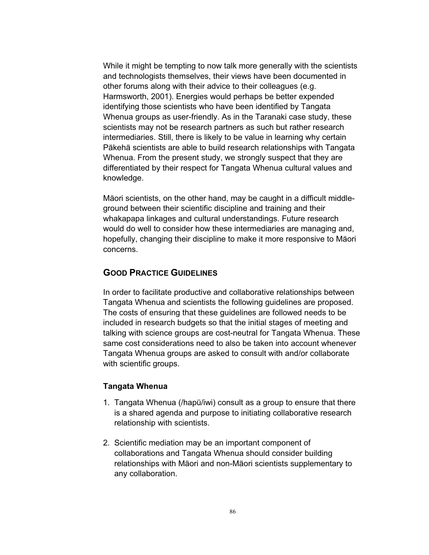While it might be tempting to now talk more generally with the scientists and technologists themselves, their views have been documented in other forums along with their advice to their colleagues (e.g. Harmsworth, 2001). Energies would perhaps be better expended identifying those scientists who have been identified by Tangata Whenua groups as user-friendly. As in the Taranaki case study, these scientists may not be research partners as such but rather research intermediaries. Still, there is likely to be value in learning why certain Päkehä scientists are able to build research relationships with Tangata Whenua. From the present study, we strongly suspect that they are differentiated by their respect for Tangata Whenua cultural values and knowledge.

Mäori scientists, on the other hand, may be caught in a difficult middleground between their scientific discipline and training and their whakapapa linkages and cultural understandings. Future research would do well to consider how these intermediaries are managing and, hopefully, changing their discipline to make it more responsive to Mäori concerns.

### **GOOD PRACTICE GUIDELINES**

In order to facilitate productive and collaborative relationships between Tangata Whenua and scientists the following guidelines are proposed. The costs of ensuring that these guidelines are followed needs to be included in research budgets so that the initial stages of meeting and talking with science groups are cost-neutral for Tangata Whenua. These same cost considerations need to also be taken into account whenever Tangata Whenua groups are asked to consult with and/or collaborate with scientific groups.

#### **Tangata Whenua**

- 1. Tangata Whenua (/hapü/iwi) consult as a group to ensure that there is a shared agenda and purpose to initiating collaborative research relationship with scientists.
- 2. Scientific mediation may be an important component of collaborations and Tangata Whenua should consider building relationships with Mäori and non-Mäori scientists supplementary to any collaboration.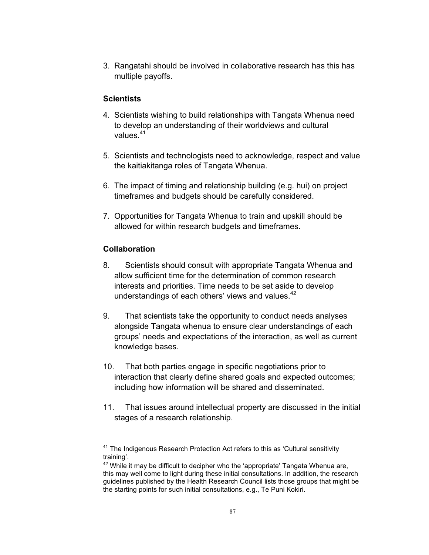3. Rangatahi should be involved in collaborative research has this has multiple payoffs.

## **Scientists**

- 4. Scientists wishing to build relationships with Tangata Whenua need to develop an understanding of their worldviews and cultural values.<sup>41</sup>
- 5. Scientists and technologists need to acknowledge, respect and value the kaitiakitanga roles of Tangata Whenua.
- 6. The impact of timing and relationship building (e.g. hui) on project timeframes and budgets should be carefully considered.
- 7. Opportunities for Tangata Whenua to train and upskill should be allowed for within research budgets and timeframes.

### **Collaboration**

 $\overline{a}$ 

- 8. Scientists should consult with appropriate Tangata Whenua and allow sufficient time for the determination of common research interests and priorities. Time needs to be set aside to develop understandings of each others' views and values.<sup>42</sup>
- 9. That scientists take the opportunity to conduct needs analyses alongside Tangata whenua to ensure clear understandings of each groups' needs and expectations of the interaction, as well as current knowledge bases.
- 10. That both parties engage in specific negotiations prior to interaction that clearly define shared goals and expected outcomes; including how information will be shared and disseminated.
- 11. That issues around intellectual property are discussed in the initial stages of a research relationship.

 $41$  The Indigenous Research Protection Act refers to this as 'Cultural sensitivity training'.

 $42$  While it may be difficult to decipher who the 'appropriate' Tangata Whenua are, this may well come to light during these initial consultations. In addition, the research guidelines published by the Health Research Council lists those groups that might be the starting points for such initial consultations, e.g., Te Puni Kokiri.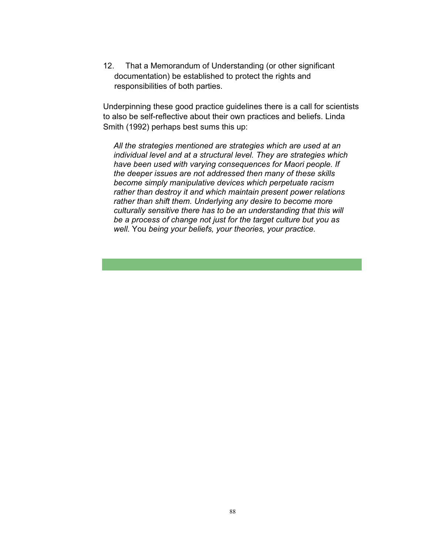12. That a Memorandum of Understanding (or other significant documentation) be established to protect the rights and responsibilities of both parties.

Underpinning these good practice guidelines there is a call for scientists to also be self-reflective about their own practices and beliefs. Linda Smith (1992) perhaps best sums this up:

*All the strategies mentioned are strategies which are used at an individual level and at a structural level. They are strategies which have been used with varying consequences for Maori people. If the deeper issues are not addressed then many of these skills become simply manipulative devices which perpetuate racism rather than destroy it and which maintain present power relations rather than shift them. Underlying any desire to become more culturally sensitive there has to be an understanding that this will be a process of change not just for the target culture but you as well.* You *being your beliefs, your theories, your practice.*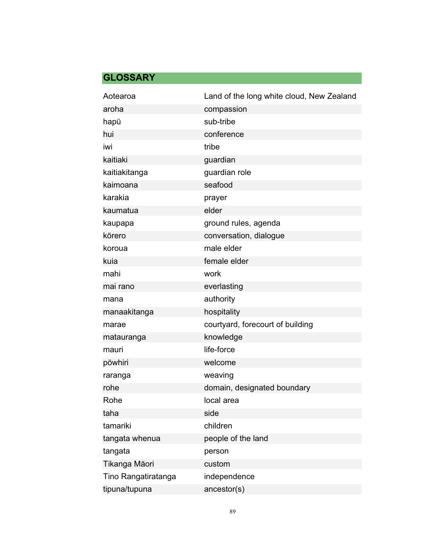# **GLOSSARY**

| Aotearoa            | Land of the long white cloud, New Zealand |
|---------------------|-------------------------------------------|
| aroha               | compassion                                |
| hapü                | sub-tribe                                 |
| hui                 | conference                                |
| iwi                 | tribe                                     |
| kaitiaki            | guardian                                  |
| kaitiakitanga       | guardian role                             |
| kaimoana            | seafood                                   |
| karakia             | prayer                                    |
| kaumatua            | elder                                     |
| kaupapa             | ground rules, agenda                      |
| körero              | conversation, dialogue                    |
| koroua              | male elder                                |
| kuia                | female elder                              |
| mahi                | work                                      |
| mai rano            | everlasting                               |
| mana                | authority                                 |
| manaakitanga        | hospitality                               |
| marae               | courtyard, forecourt of building          |
| matauranga          | knowledge                                 |
| mauri               | life-force                                |
| pöwhiri             | welcome                                   |
| raranga             | weaving                                   |
| rohe                | domain, designated boundary               |
| Rohe                | local area                                |
| taha                | side                                      |
| tamariki            | children                                  |
| tangata whenua      | people of the land                        |
| tangata             | person                                    |
| Tikanga Mäori       | custom                                    |
| Tino Rangatiratanga | independence                              |
| tipuna/tupuna       | ancestor(s)                               |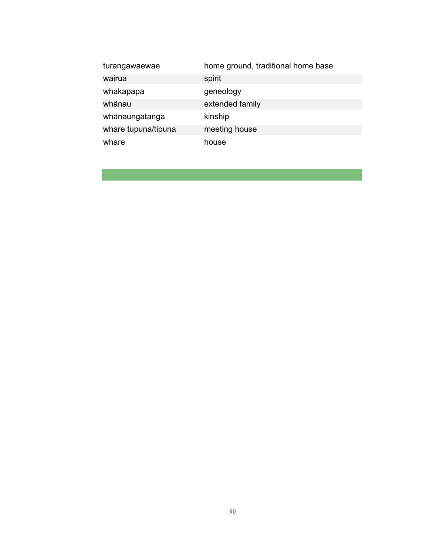| turangawaewae       | home ground, traditional home base |
|---------------------|------------------------------------|
| wairua              | spirit                             |
| whakapapa           | geneology                          |
| whänau              | extended family                    |
| whänaungatanga      | kinship                            |
| whare tupuna/tipuna | meeting house                      |
| whare               | house                              |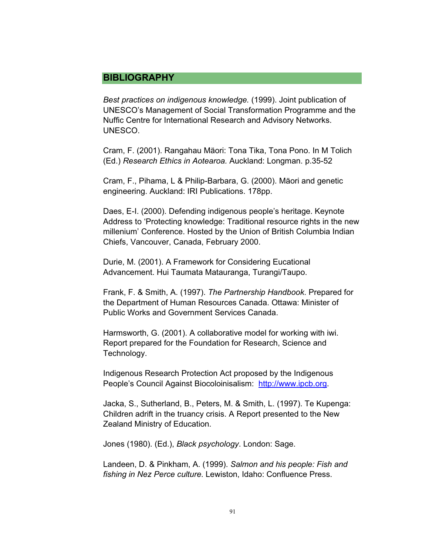# **BIBLIOGRAPHY**

*Best practices on indigenous knowledge.* (1999). Joint publication of UNESCO's Management of Social Transformation Programme and the Nuffic Centre for International Research and Advisory Networks. UNESCO.

Cram, F. (2001). Rangahau Mäori: Tona Tika, Tona Pono. In M Tolich (Ed.) *Research Ethics in Aotearoa.* Auckland: Longman. p.35-52

Cram, F., Pihama, L & Philip-Barbara, G. (2000). Mäori and genetic engineering. Auckland: IRI Publications. 178pp.

Daes, E-I. (2000). Defending indigenous people's heritage. Keynote Address to 'Protecting knowledge: Traditional resource rights in the new millenium' Conference. Hosted by the Union of British Columbia Indian Chiefs, Vancouver, Canada, February 2000.

Durie, M. (2001). A Framework for Considering Eucational Advancement. Hui Taumata Matauranga, Turangi/Taupo.

Frank, F. & Smith, A. (1997). *The Partnership Handbook*. Prepared for the Department of Human Resources Canada. Ottawa: Minister of Public Works and Government Services Canada.

Harmsworth, G. (2001). A collaborative model for working with iwi. Report prepared for the Foundation for Research, Science and Technology.

Indigenous Research Protection Act proposed by the Indigenous People's Council Against Biocoloinisalism: http://www.ipcb.org.

Jacka, S., Sutherland, B., Peters, M. & Smith, L. (1997). Te Kupenga: Children adrift in the truancy crisis. A Report presented to the New Zealand Ministry of Education.

Jones (1980). (Ed.), *Black psychology*. London: Sage.

Landeen, D. & Pinkham, A. (1999). *Salmon and his people: Fish and fishing in Nez Perce culture*. Lewiston, Idaho: Confluence Press.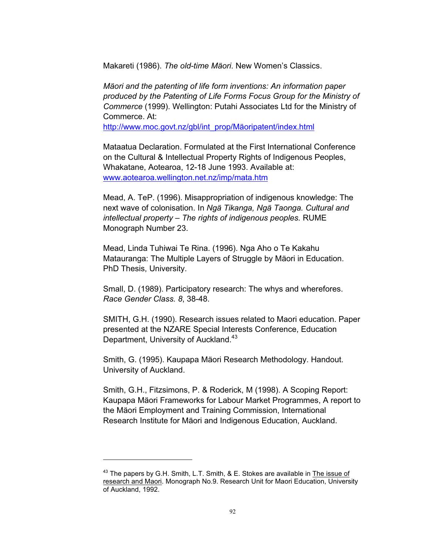Makareti (1986). *The old-time Mäori*. New Women's Classics.

*Mäori and the patenting of life form inventions: An information paper produced by the Patenting of Life Forms Focus Group for the Ministry of Commerce* (1999). Wellington: Putahi Associates Ltd for the Ministry of Commerce. At:

http://www.moc.govt.nz/gbl/int\_prop/Mäoripatent/index.html

Mataatua Declaration. Formulated at the First International Conference on the Cultural & Intellectual Property Rights of Indigenous Peoples, Whakatane, Aotearoa, 12-18 June 1993. Available at: www.aotearoa.wellington.net.nz/imp/mata.htm

Mead, A. TeP. (1996). Misappropriation of indigenous knowledge: The next wave of colonisation. In *Ngä Tikanga, Ngä Taonga. Cultural and intellectual property – The rights of indigenous peoples.* RUME Monograph Number 23.

Mead, Linda Tuhiwai Te Rina. (1996). Nga Aho o Te Kakahu Matauranga: The Multiple Layers of Struggle by Mäori in Education. PhD Thesis, University.

Small, D. (1989). Participatory research: The whys and wherefores. *Race Gender Class. 8*, 38-48.

SMITH, G.H. (1990). Research issues related to Maori education. Paper presented at the NZARE Special Interests Conference, Education Department, University of Auckland.<sup>43</sup>

Smith, G. (1995). Kaupapa Mäori Research Methodology. Handout. University of Auckland.

Smith, G.H., Fitzsimons, P. & Roderick, M (1998). A Scoping Report: Kaupapa Mäori Frameworks for Labour Market Programmes, A report to the Mäori Employment and Training Commission, International Research Institute for Mäori and Indigenous Education, Auckland.

 $\overline{a}$ 

 $43$  The papers by G.H. Smith, L.T. Smith, & E. Stokes are available in The issue of research and Maori. Monograph No.9. Research Unit for Maori Education, University of Auckland, 1992.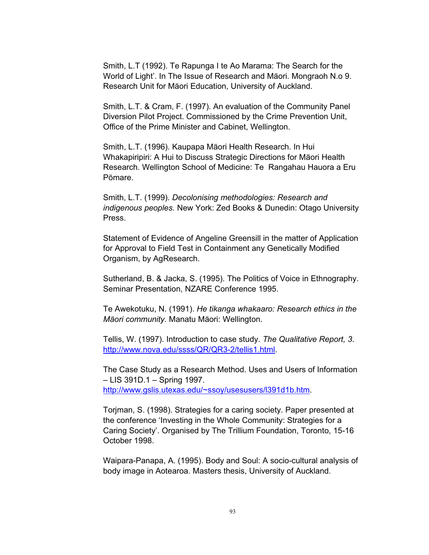Smith, L.T (1992). Te Rapunga I te Ao Marama: The Search for the World of Light'. In The Issue of Research and Mäori. Mongraoh N.o 9. Research Unit for Mäori Education, University of Auckland.

Smith, L.T. & Cram, F. (1997). An evaluation of the Community Panel Diversion Pilot Project. Commissioned by the Crime Prevention Unit, Office of the Prime Minister and Cabinet, Wellington.

Smith, L.T. (1996). Kaupapa Mäori Health Research. In Hui Whakapiripiri: A Hui to Discuss Strategic Directions for Mäori Health Research. Wellington School of Medicine: Te Rangahau Hauora a Eru Pömare.

Smith, L.T. (1999). *Decolonising methodologies: Research and indigenous peoples.* New York: Zed Books & Dunedin: Otago University Press.

Statement of Evidence of Angeline Greensill in the matter of Application for Approval to Field Test in Containment any Genetically Modified Organism, by AgResearch.

Sutherland, B. & Jacka, S. (1995). The Politics of Voice in Ethnography. Seminar Presentation, NZARE Conference 1995.

Te Awekotuku, N. (1991). *He tikanga whakaaro: Research ethics in the Mäori community.* Manatu Mäori: Wellington.

Tellis, W. (1997). Introduction to case study. *The Qualitative Report, 3*. http://www.nova.edu/ssss/QR/QR3-2/tellis1.html.

The Case Study as a Research Method. Uses and Users of Information – LIS 391D.1 – Spring 1997. http://www.gslis.utexas.edu/~ssoy/usesusers/l391d1b.htm.

Torjman, S. (1998). Strategies for a caring society. Paper presented at the conference 'Investing in the Whole Community: Strategies for a Caring Society'. Organised by The Trillium Foundation, Toronto, 15-16 October 1998.

Waipara-Panapa, A. (1995). Body and Soul: A socio-cultural analysis of body image in Aotearoa. Masters thesis, University of Auckland.